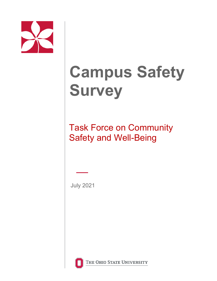

# **Campus Safety Survey**

Task Force on Community Safety and Well-Being

July 2021



THE OHIO STATE UNIVERSITY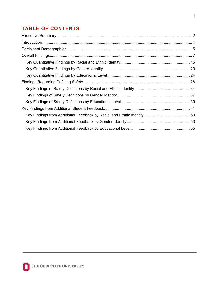## **TABLE OF CONTENTS**

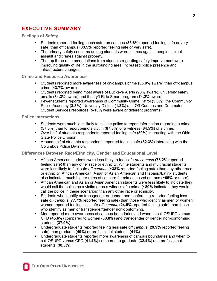### <span id="page-2-0"></span>**EXECUTIVE SUMMARY**

**Feelings of Safety**

- Students reported feeling much safer on campus (**85.8%** reported feeling safe or very safe) than off campus (**33.5%** reported feeling safe or very safe).
- The primary safety concerns among students were: crimes against people, sexual assault and crimes against property.
- The top three recommendations from students regarding safety improvement were: improving quality of life in the surrounding area, increased police presence and infrastructure changes.

#### **Crime and Resource Awareness**

- Students reported more awareness of on-campus crime (**55.8%** aware) than off-campus crime (**43.7%** aware).
- Students reported being most aware of Buckeye Alerts (**98%** aware), university safety emails (**84.3%** aware) and the Lyft Ride Smart program (**74.2%** aware).
- Fewer students reported awareness of Community Crime Patrol (**5.3%**), the Community Police Academy (**3.8%**), University District (**1.8%**) and Off-Campus and Commuter Student Services resources (**5-10%** were aware of different programs).

### **Police Interactions**

- **Students were much less likely to call the police to report information regarding a crime** (**57.3%**) than to report being a victim (**87.8%**) or a witness (**84.5%**) of a crime.
- Over half of students respondents reported feeling safe (**59%**) interacting with the Ohio State Police Division.
- Around half of students respondents reported feeling safe (**52.3%**) interacting with the Columbus Police Division.

### **Differences Between Race/Ethnicity, Gender and Educational Level**

- African American students were less likely to feel safe *on campus* (**75.2%** reported feeling safe) than any other race or ethnicity; White students and multiracial students were less likely to feel safe *off campus* (**~33%** reported feeling safe) than any other race or ethnicity. African American, Asian or Asian American and Hispanic/Latinx students also indicated much higher rates of concern for crimes based on race (**~65%** or more).
- African American and Asian or Asian American students were less likely to indicate they would call the police as a victim or as a witness of a crime (**~80%** indicated they would call the police in these scenarios) than any other race or ethnicity.
- Students who identify as transgender or gender non-conforming reported feeling less safe *on campus* (**77.7%** reported feeling safe) than those who identify as men or women; women reported feeling less safe *off campus* (**24.5%** reported feeling safe) than those who identify as men or transgender/gender non-conforming.
- Men reported more awareness of campus boundaries and when to call OSUPD versus CPD (**45.6%**) compared to women (**33.8%**) and transgender or gender non-conforming students (**37.9%**).
- Undergraduate students reported feeling less safe *off campus* (**29.9%** reported feeling safe) than graduate (**49%**) or professional students (**41%**).
- Undergraduate students reported more awareness of campus boundaries and when to call OSUPD versus CPD (**41.4%**) compared to graduate (**32.4%**) and professional students (**30.5%**).

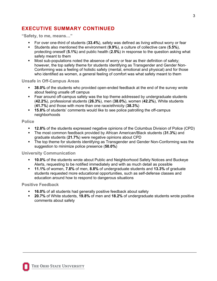### **EXECUTIVE SUMMARY CONTINUED**

**"Safety, to me, means…"**

- For over one-third of students (**33.4%**), safety was defined as living without worry or fear
- Students also mentioned the environment (**9.9%**), a culture of collective care (**5.5%**), protecting oneself (**5.1%**) and public health (**2.5%**) in response to the question asking what safety meant to them
- Most sub-populations noted the absence of worry or fear as their definition of safety; however, the top safety theme for students identifying as Transgender and Gender Non-Conforming was a feeling of holistic safety (mental, emotional and physical) and for those who identified as women, a general feeling of comfort was what safety meant to them

### **Unsafe in Off-Campus Areas**

- **38.0%** of the students who provided open-ended feedback at the end of the survey wrote about feeling unsafe off campus
- Fear around off-campus safety was the top theme addressed by undergraduate students (**42.2%**), professional students (**26.3%**), men (**38.0%**), women (**42.2%**), White students (**41.7%**) and those with more than one race/ethnicity (**38.3%**)
- **15.8%** of students' comments would like to see police patrolling the off-campus neighborhoods

### **Police**

- **12.8%** of the students expressed negative opinions of the Columbus Division of Police (CPD)
- The most common feedback provided by African American/Black students (**31.3%**) and graduate students (**21.7%**) were negative opinions about CPD
- The top theme for students identifying as Transgender and Gender Non-Conforming was the suggestion to minimize police presence (**50.0%**)

### **University Communication**

- **10.0%** of the students wrote about Public and Neighborhood Safety Notices and Buckeye Alerts, requesting to be notified immediately and with as much detail as possible
- **11.1%** of women, **7.8%** of men, **8.8%** of undergraduate students and **13.3%** of graduate students requested more educational opportunities, such as self-defense classes and education around how to respond to dangerous situations

### **Positive Feedback**

- **16.0%** of all students had generally positive feedback about safety
- **20.7%** of White students, **19.8%** of men and **18.2%** of undergraduate students wrote positive comments about safety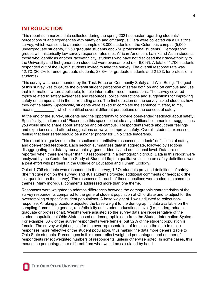### <span id="page-4-0"></span>**INTRODUCTION**

This report summarizes data collected during the spring 2021 semester regarding students' perceptions of and experiences with safety on and off campus. Data were collected via a Qualtrics survey, which was sent to a random sample of 8,000 students on the Columbus campus (5,000 undergraduate students, 2,250 graduate students and 750 professional students). Demographic groups with historically low survey response rates (i.e., African-American, Latinx and Asian students, those who identify as another race/ethnicity, students who have not disclosed their race/ethnicity to the University and first-generation students) were oversampled (*n* = 6,097). A total of 1,706 students responded out of the 14,097 students invited to take the survey. The overall response rate was 12.1% (20.2% for undergraduate students, 23.8% for graduate students and 21.3% for professional students).

This survey was recommended by the Task Force on Community Safety and Well-Being. The goal of this survey was to gauge the overall student perception of safety both on and off campus and use that information, where applicable, to help inform other recommendations. The survey covered topics related to safety awareness and resources, police interactions and suggestions for improving safety on campus and in the surrounding area. The first question on the survey asked students how they define safety. Specifically, students were asked to complete the sentence "Safety, to me, means  $\ldots$ , which identified several different perceptions of the concept of safety.

At the end of the survey, students had the opportunity to provide open-ended feedback about safety. Specifically, the item read "Please use this space to include any additional comments or suggestions you would like to share about safety on and off campus." Respondents wrote about their feelings and experiences and offered suggestions on ways to improve safety. Overall, students expressed feeling that their safety should be a higher priority for Ohio State leadership.

This report is organized into three sections: quantitative responses, students' definitions of safety and open-ended feedback. Each section summarizes data in aggregate, followed by sections disaggregating the data by race/ethnicity, gender identity and educational level. Data are not reported when there are fewer than 10 respondents in a demographic group. Data in this report were analyzed by the Center for the Study of Student Life; the qualitative section on safety definitions was a joint effort with partners in the College of Education and Human Ecology.

Out of 1,706 students who responded to the survey, 1,574 students provided definitions of safety (the first question on the survey) and 401 students provided additional comments or feedback (the last question on the survey). The responses for each of these questions were coded into common themes. Many individual comments addressed more than one theme.

Responses were weighted to address differences between the demographic characteristics of the survey respondents compared to the general student population at Ohio State and to adjust for the oversampling of specific student populations. A base weight of 1 was adjusted to reflect nonresponse. A raking procedure adjusted the base weight to the demographic data available on the sampling frame using gender, race/ethnicity and student educational level (i.e., undergraduate, graduate or professional). Weights were adjusted so the survey data are representative of the student population at Ohio State, based on demographic data from the Student Information System. For example, 63% of the survey respondents were female, but 52% of the student population is female. The survey weight adjusts for the over-representation of females in the data to make responses more reflective of the student population, thus making the data more generalizable to Ohio State students. Percentages in this report reflect weighted percentages, and number of respondents reflect weighted numbers of respondents, unless otherwise noted. In some cases, this means the percentages are different from what would be calculated by hand.

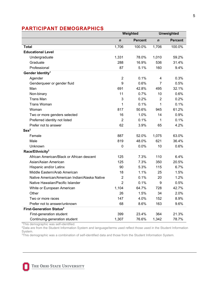### <span id="page-5-0"></span>**PARTICIPANT DEMOGRAPHICS**

|                                               | Weighted       |                | <b>Unweighted</b> |                |
|-----------------------------------------------|----------------|----------------|-------------------|----------------|
|                                               | $\mathbf n$    | <b>Percent</b> | $\mathbf n$       | <b>Percent</b> |
| <b>Total</b>                                  | 1,706          | 100.0%         | 1,706             | 100.0%         |
| <b>Educational Level</b>                      |                |                |                   |                |
| Undergraduate                                 | 1,331          | 78.0%          | 1,010             | 59.2%          |
| Graduate                                      | 288            | 16.9%          | 536               | 31.4%          |
| Professional                                  | 87             | 5.1%           | 160               | 9.4%           |
| Gender Identity <sup>1</sup>                  |                |                |                   |                |
| Agender                                       | $\overline{2}$ | 0.1%           | 4                 | 0.3%           |
| Genderqueer or gender fluid                   | 9              | 0.6%           | $\overline{7}$    | 0.5%           |
| Man                                           | 691            | 42.8%          | 495               | 32.1%          |
| Non-binary                                    | 11             | 0.7%           | 10                | 0.6%           |
| <b>Trans Man</b>                              | 3              | 0.2%           | $\overline{2}$    | 0.2%           |
| <b>Trans Woman</b>                            | 1              | 0.1%           | $\mathbf{1}$      | 0.1%           |
| Woman                                         | 817            | 50.6%          | 945               | 61.2%          |
| Two or more genders selected                  | 16             | 1.0%           | 14                | 0.9%           |
| Preferred identity not listed                 | $\overline{2}$ | 0.1%           | 1                 | 0.1%           |
| Prefer not to answer                          | 62             | 3.9%           | 65                | 4.2%           |
| Sex <sup>2</sup>                              |                |                |                   |                |
| Female                                        | 887            | 52.0%          | 1,075             | 63.0%          |
| Male                                          | 819            | 48.0%          | 621               | 36.4%          |
| Unknown                                       | 0              | 0.0%           | 10                | 0.6%           |
| Race/Ethnicity <sup>3</sup>                   |                |                |                   |                |
| African American/Black or African descent     | 125            | 7.3%           | 110               | 6.4%           |
| Asian/Asian American                          | 125            | 7.3%           | 350               | 20.5%          |
| Hispanic and/or Latinx                        | 90             | 5.3%           | 115               | 6.7%           |
| Middle Eastern/Arab American                  | 18             | 1.1%           | 25                | 1.5%           |
| Native American/American Indian/Alaska Native | $\overline{2}$ | 0.1%           | 20                | 1.2%           |
| Native Hawaiian/Pacific Islander              | $\overline{2}$ | 0.1%           | 9                 | 0.5%           |
| White or European American                    | 1,104          | 64.7%          | 728               | 42.7%          |
| Other                                         | 26             | 1.5%           | 34                | 2.0%           |
| Two or more races                             | 147            | 4.0%           | 152               | 8.9%           |
| Prefer not to answer/unknown                  | 68             | 8.6%           | 163               | 9.6%           |
| First-Generation Status <sup>2</sup>          |                |                |                   |                |
| First-generation student                      | 399            | 23.4%          | 364               | 21.3%          |
| Continuing-generation student                 | 1,307          | 76.6%          | 1,342             | 78.7%          |

<sup>1</sup>This demographic was self-identified.

2Data are from the Student Information System and language/terms used reflect those used in the Student Information System.

 ${}^{3}$ This demographic was a combination of self-identified data and those from the Student Information System.

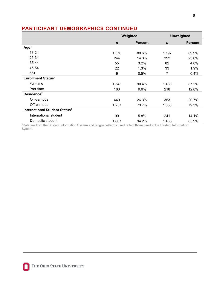### **PARTICIPANT DEMOGRAPHICS CONTINUED**

|                                           | Weighted    |                |             | <b>Unweighted</b> |
|-------------------------------------------|-------------|----------------|-------------|-------------------|
|                                           | $\mathbf n$ | <b>Percent</b> | $\mathbf n$ | <b>Percent</b>    |
| Age <sup>2</sup>                          |             |                |             |                   |
| 18-24                                     | 1,376       | 80.6%          | 1,192       | 69.9%             |
| 25-34                                     | 244         | 14.3%          | 392         | 23.0%             |
| 35-44                                     | 55          | 3.2%           | 82          | 4.8%              |
| 45-54                                     | 22          | 1.3%           | 33          | 1.9%              |
| $55+$                                     | 9           | 0.5%           | 7           | 0.4%              |
| <b>Enrollment Status<sup>2</sup></b>      |             |                |             |                   |
| Full-time                                 | 1,543       | 90.4%          | 1,488       | 87.2%             |
| Part-time                                 | 163         | 9.6%           | 218         | 12.8%             |
| Residence <sup>2</sup>                    |             |                |             |                   |
| On-campus                                 | 449         | 26.3%          | 353         | 20.7%             |
| Off-campus                                | 1,257       | 73.7%          | 1,353       | 79.3%             |
| International Student Status <sup>2</sup> |             |                |             |                   |
| International student                     | 99          | 5.8%           | 241         | 14.1%             |
| Domestic student                          | 1,607       | 94.2%          | 1,465       | 85.9%             |

2Data are from the Student Information System and language/terms used reflect those used in the Student Information System.

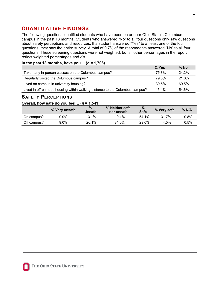### <span id="page-7-0"></span>**QUANTITATIVE FINDINGS**

The following questions identified students who have been on or near Ohio State's Columbus campus in the past 18 months. Students who answered "No" to all four questions only saw questions about safety perceptions and resources. If a student answered "Yes" to at least one of the four questions, they saw the entire survey. A total of 9.7% of the respondents answered "No" to all four questions. These screening questions were not weighted, but all other percentages in the report reflect weighted percentages and *n*'s.

### **In the past 18 months, have you… (***n* **= 1,706)**

|                                                                             | % Yes | $%$ No |
|-----------------------------------------------------------------------------|-------|--------|
| Taken any in-person classes on the Columbus campus?                         | 75.8% | 24.2%  |
| Regularly visited the Columbus campus?                                      | 79.0% | 21.0%  |
| Lived on campus in university housing?                                      | 30.5% | 69.5%  |
| Lived in off-campus housing within walking distance to the Columbus campus? | 45.4% | 54.6%  |

### **SAFETY PERCEPTIONS**

### **Overall, how safe do you feel… (***n* **= 1,541)**

|             | % Very unsafe | %<br><b>Unsafe</b> | % Neither safe<br>nor unsafe | %<br><b>Safe</b> | % Very safe | $%$ N/A |
|-------------|---------------|--------------------|------------------------------|------------------|-------------|---------|
| On campus?  | 0.9%          | $3.1\%$            | $9.4\%$                      | 54 1%            | 317%        | 0.8%    |
| Off campus? | $9.0\%$       | 26.1%              | 31.0%                        | 29.0%            | 4.5%        | $0.5\%$ |

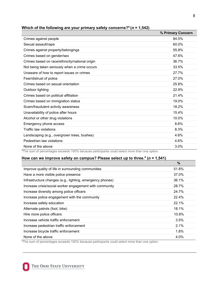|                                                | % Primary Concern |
|------------------------------------------------|-------------------|
| Crimes against people                          | 84.5%             |
| Sexual assault/rape                            | 60.0%             |
| Crimes against property/belongings             | 55.8%             |
| Crimes based on gender/sex                     | 47.6%             |
| Crimes based on race/ethnicity/national origin | 36.7%             |
| Not being taken seriously when a crime occurs  | 33.5%             |
| Unaware of how to report issues or crimes      | 27.7%             |
| Fear/distrust of police                        | 27.0%             |
| Crimes based on sexual orientation             | 25.8%             |
| Outdoor lighting                               | 22.9%             |
| Crimes based on political affiliation          | 21.4%             |
| Crimes based on immigration status             | 19.0%             |
| Scam/fraudulent activity awareness             | 18.2%             |
| Unavailability of police after hours           | 15.4%             |
| Alcohol or other drug violations               | 10.0%             |
| Emergency phone access                         | 8.6%              |
| Traffic law violations                         | 8.3%              |
| Landscaping (e.g., overgrown trees, bushes)    | 4.6%              |
| Pedestrian law violations                      | 4.6%              |
| None of the above                              | 3.0%              |

### Which of the following are your primary safety concerns?<sup> $4$ </sup> ( $n = 1.542$ )

<sup>4</sup>The sum of percentages exceeds 100% because participants could select more than one option.

### **How can we improve safety on campus? Please select up to three.<sup>4</sup> (***n* **= 1,541)**

|                                                           | $\frac{9}{6}$ |
|-----------------------------------------------------------|---------------|
| Improve quality of life in surrounding communities        | 51.8%         |
| Have a more visible police presence                       | 37.0%         |
| Infrastructure changes (e.g., lighting, emergency phones) | 36.1%         |
| Increase crisis/social worker engagement with community   | 28.7%         |
| Increase diversity among police officers                  | 24.7%         |
| Increase police engagement with the community             | 22.4%         |
| Increase safety education                                 | 22.1%         |
| Alternate patrols (foot, bike)                            | 18.1%         |
| Hire more police officers                                 | 10.8%         |
| Increase vehicle traffic enforcement                      | 3.5%          |
| Increase pedestrian traffic enforcement                   | 2.1%          |
| Increase bicycle traffic enforcement                      | 1.8%          |
| None of the above                                         | 4.0%          |

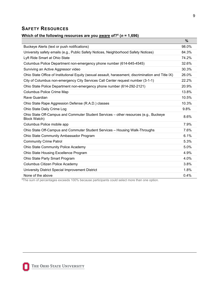### **SAFETY RESOURCES**

#### **Which of the following resources are you aware of?<sup>4</sup> (***n* **= 1,696)**

|                                                                                                             | $\frac{9}{6}$ |
|-------------------------------------------------------------------------------------------------------------|---------------|
| Buckeye Alerts (text or push notifications)                                                                 | 98.0%         |
| University safety emails (e.g., Public Safety Notices, Neighborhood Safety Notices)                         | 84.3%         |
| Lyft Ride Smart at Ohio State                                                                               | 74.2%         |
| Columbus Police Department non-emergency phone number (614-645-4545)                                        | 32.6%         |
| Surviving an Active Aggressor video                                                                         | 30.3%         |
| Ohio State Office of Institutional Equity (sexual assault, harassment, discrimination and Title IX)         | 26.0%         |
| City of Columbus non-emergency City Services Call Center request number (3-1-1)                             | 22.2%         |
| Ohio State Police Department non-emergency phone number (614-292-2121)                                      | 20.9%         |
| <b>Columbus Police Crime Map</b>                                                                            | 13.8%         |
| Rave Guardian                                                                                               | 10.5%         |
| Ohio State Rape Aggression Defense (R.A.D.) classes                                                         | 10.3%         |
| Ohio State Daily Crime Log                                                                                  | 9.8%          |
| Ohio State Off-Campus and Commuter Student Services - other resources (e.g., Buckeye<br><b>Block Watch)</b> | 8.6%          |
| Columbus Police mobile app                                                                                  | 7.9%          |
| Ohio State Off-Campus and Commuter Student Services - Housing Walk-Throughs                                 | 7.6%          |
| Ohio State Community Ambassador Program                                                                     | 6.1%          |
| <b>Community Crime Patrol</b>                                                                               | 5.3%          |
| Ohio State Community Police Academy                                                                         | 5.0%          |
| Ohio State Housing Excellence Program                                                                       | 4.9%          |
| Ohio State Party Smart Program                                                                              | 4.0%          |
| Columbus Citizen Police Academy                                                                             | 3.8%          |
| University District Special Improvement District                                                            | 1.8%          |
| None of the above                                                                                           | 0.4%          |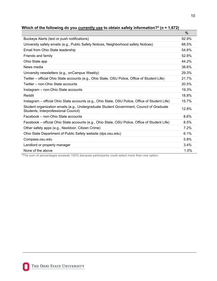|                                                                                                                                  | $\%$  |
|----------------------------------------------------------------------------------------------------------------------------------|-------|
| Buckeye Alerts (text or push notifications)                                                                                      | 92.9% |
| University safety emails (e.g., Public Safety Notices, Neighborhood safety Notices)                                              | 68.5% |
| Email from Ohio State leadership                                                                                                 | 54.6% |
| Friends and family                                                                                                               | 52.8% |
| Ohio State app                                                                                                                   | 44.2% |
| News media                                                                                                                       | 38.6% |
| University newsletters (e.g., onCampus Weekly)                                                                                   | 29.3% |
| Twitter – official Ohio State accounts (e.g., Ohio State, OSU Police, Office of Student Life)                                    | 21.7% |
| Twitter – non-Ohio State accounts                                                                                                | 20.5% |
| Instagram – non-Ohio State accounts                                                                                              | 19.3% |
| Reddit                                                                                                                           | 18.8% |
| Instagram – official Ohio State accounts (e.g., Ohio State, OSU Police, Office of Student Life)                                  | 15.7% |
| Student organization emails (e.g., Undergraduate Student Government, Council of Graduate<br>Students, Interprofessional Council) | 12.8% |
| Facebook - non-Ohio State accounts                                                                                               | 8.6%  |
| Facebook – official Ohio State accounts (e.g., Ohio State, OSU Police, Office of Student Life)                                   | 8.5%  |
| Other safety apps (e.g., Nextdoor, Citizen Crime)                                                                                | 7.2%  |
| Ohio State Department of Public Safety website (dps.osu.edu)                                                                     | 6.1%  |
| Compass.osu.edu                                                                                                                  | 5.8%  |
| Landlord or property manager                                                                                                     | 3.4%  |
| None of the above                                                                                                                | 1.0%  |

| Which of the following do you currently use to obtain safety information? <sup>4</sup> ( $n = 1,672$ ) |  |  |  |
|--------------------------------------------------------------------------------------------------------|--|--|--|
|--------------------------------------------------------------------------------------------------------|--|--|--|

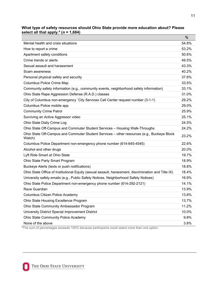|                                                                                                      | $\frac{9}{6}$ |
|------------------------------------------------------------------------------------------------------|---------------|
| Mental health and crisis situations                                                                  | 54.8%         |
| How to report a crime                                                                                | 53.2%         |
| Apartment safety conditions                                                                          | 50.6%         |
| Crime trends or alerts                                                                               | 49.5%         |
| Sexual assault and harassment                                                                        | 43.3%         |
| Scam awareness                                                                                       | 40.2%         |
| Personal physical safety and security                                                                | 37.6%         |
| Columbus Police Crime Map                                                                            | 33.5%         |
| Community safety information (e.g., community events, neighborhood safety information)               | 33.1%         |
| Ohio State Rape Aggression Defense (R.A.D.) classes                                                  | 31.0%         |
| City of Columbus non-emergency `City Services Call Center request number (3-1-1)                     | 29.2%         |
| Columbus Police mobile app                                                                           | 29.0%         |
| <b>Community Crime Patrol</b>                                                                        | 25.9%         |
| Surviving an Active Aggressor video                                                                  | 25.1%         |
| Ohio State Daily Crime Log                                                                           | 24.5%         |
| Ohio State Off-Campus and Commuter Student Services - Housing Walk-Throughs                          | 24.2%         |
| Ohio State Off-Campus and Commuter Student Services - other resources (e.g., Buckeye Block<br>Watch) | 23.2%         |
| Columbus Police Department non-emergency phone number (614-645-4545)                                 | 22.6%         |
| Alcohol and other drugs                                                                              | 20.0%         |
| Lyft Ride Smart at Ohio State                                                                        | 19.7%         |
| Ohio State Party Smart Program                                                                       | 18.9%         |
| Buckeye Alerts (texts or push notifications)                                                         | 18.8%         |
| Ohio State Office of Institutional Equity (sexual assault, harassment, discrimination and Title IX)  | 18.4%         |
| University safety emails (e.g., Public Safety Notices, Neighborhood Safety Notices)                  | 16.9%         |
| Ohio State Police Department non-emergency phone number (614-292-2121)                               | 14.1%         |
| Rave Guardian                                                                                        | 13.9%         |
| Columbus Citizen Police Academy                                                                      | 13.8%         |
| Ohio State Housing Excellence Program                                                                | 13.7%         |
| Ohio State Community Ambassador Program                                                              | 11.2%         |
| University District Special Improvement District                                                     | 10.0%         |
| <b>Ohio State Community Police Academy</b>                                                           | 9.8%          |
| None of the above                                                                                    | 3.8%          |

### **What type of safety resources should Ohio State provide more education about? Please select all that apply.<sup>4</sup> (***n* **= 1,684)**

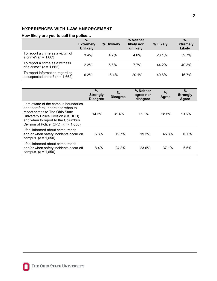### **EXPERIENCES WITH LAW ENFORCEMENT**

|                                                                       | $\frac{9}{6}$<br><b>Extremely</b><br><b>Unlikely</b> | % Unlikely | % Neither<br>likely nor<br>unlikely | % Likely | $\frac{9}{6}$<br><b>Extremely</b><br>Likely |
|-----------------------------------------------------------------------|------------------------------------------------------|------------|-------------------------------------|----------|---------------------------------------------|
| To report a crime as a victim of<br>a crime? ( $n = 1,663$ )          | 3.4%                                                 | $4.2\%$    | 4.6%                                | 28.1%    | 59.7%                                       |
| To report a crime as a witness<br>of a crime? ( $n = 1,662$ )         | $2.2\%$                                              | 5.6%       | $7.7\%$                             | 44.2%    | 40.3%                                       |
| To report information regarding<br>a suspected crime? ( $n = 1,662$ ) | 6.2%                                                 | 16.4%      | 20.1%                               | 40.6%    | 16.7%                                       |

#### **How likely are you to call the police…**

|                                                                                                                                                                                                                                 | $\%$<br><b>Strongly</b><br><b>Disagree</b> | $\%$<br><b>Disagree</b> | % Neither<br>agree nor<br>disagree | $\%$<br>Agree | $\frac{0}{0}$<br><b>Strongly</b><br>Agree |
|---------------------------------------------------------------------------------------------------------------------------------------------------------------------------------------------------------------------------------|--------------------------------------------|-------------------------|------------------------------------|---------------|-------------------------------------------|
| am aware of the campus boundaries<br>and therefore understand when to<br>report crimes to The Ohio State<br>University Police Division (OSUPD)<br>and when to report to the Columbus<br>Division of Police (CPD). $(n = 1,650)$ | 14.2%                                      | $31.4\%$                | 15.3%                              | 28.5%         | 10.6%                                     |
| I feel informed about crime trends<br>and/or when safety incidents occur on<br>campus. ( $n = 1,650$ )                                                                                                                          | 5.3%                                       | 19.7%                   | $19.2\%$                           | 45.8%         | 10.0%                                     |
| I feel informed about crime trends<br>and/or when safety incidents occur off<br>campus. ( $n = 1,650$ )                                                                                                                         | 8.4%                                       | 24.3%                   | 23.6%                              | 37.1%         | 6.6%                                      |

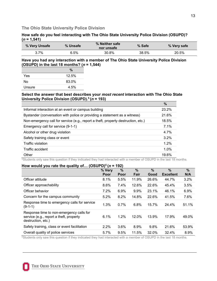#### **The Ohio State University Police Division**

#### **How safe do you feel interacting with The Ohio State University Police Division (OSUPD)?**   $(n = 1, 541)$

| % Very Unsafe | % Unsafe | % Neither safe<br>nor unsafe | % Safe | % Very safe |
|---------------|----------|------------------------------|--------|-------------|
| $3.7\%$       | 6.5%     | 30.8%                        | 38.5%  | 20.5%       |

#### **Have you had any interaction with a member of The Ohio State University Police Division (OSUPD) in the last 18 months? (***n* **= 1,544)**

|        | $\%$  |
|--------|-------|
| Yes    | 12.5% |
| No     | 83.0% |
| Unsure | 4.5%  |

### **Select the answer that best describes your** *most recent* **interaction with The Ohio State University Police Division (OSUPD). 5 (***n* **= 193)**

|                                                                                   | $\frac{9}{6}$ |
|-----------------------------------------------------------------------------------|---------------|
| Informal interaction at an event or campus building                               | 23.2%         |
| Bystander (conversation with police or providing a statement as a witness)        | 21.6%         |
| Non-emergency call for service (e.g., report a theft, property destruction, etc.) | 18.5%         |
| Emergency call for service (9-1-1)                                                | 7.1%          |
| Alcohol or other drug violation                                                   | 4.7%          |
| Safety training class or event                                                    | 3.2%          |
| <b>Traffic violation</b>                                                          | $1.2\%$       |
| Traffic accident                                                                  | 1.0%          |
| Other                                                                             | 19.6%         |

<sup>5</sup>Students only saw this question if they indicated they had interacted with a member of OSUPD in the last 18 months.

### **How would you rate the quality of… (OSUPD)5 (***n* **= 192)**

|                                                                                                           | % Very | %    | $\%$  | $\frac{0}{0}$ | $\frac{0}{0}$    | $\frac{0}{0}$ |
|-----------------------------------------------------------------------------------------------------------|--------|------|-------|---------------|------------------|---------------|
|                                                                                                           | Poor   | Poor | Fair  | Good          | <b>Excellent</b> | N/A           |
| Officer attitude                                                                                          | 8.1%   | 5.5% | 11.9% | 26.6%         | 44.7%            | 3.2%          |
| Officer approachability                                                                                   | 8.6%   | 7.4% | 12.6% | 22.6%         | 45.4%            | 3.5%          |
| Officer behavior                                                                                          | 7.2%   | 6.9% | 9.9%  | 23.1%         | 46.1%            | 6.9%          |
| Concern for the campus community                                                                          | 5.2%   | 8.2% | 14.8% | 22.6%         | 41.5%            | 7.6%          |
| Response time to emergency calls for service<br>(9-1-1)                                                   | 1.3%   | 0.7% | 6.8%  | 15.7%         | 24.4%            | 51.1%         |
| Response time to non-emergency calls for<br>service (e.g., report a theft, property<br>destruction, etc.) | 6.1%   | 1.2% | 12.0% | 13.9%         | 17.9%            | 49.0%         |
| Safety training, class or event facilitation                                                              | 2.2%   | 3.6% | 8.9%  | 9.8%          | 21.6%            | 53.9%         |
| Overall quality of police services                                                                        | 5.7%   | 9.5% | 11.5% | 32.0%         | 32.4%            | 8.9%          |

<sup>5</sup>Students only saw this question if they indicated they had interacted with a member of OSUPD in the last 18 months.

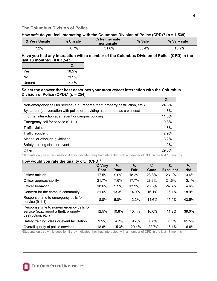### **The Columbus Division of Police**

#### **How safe do you feel interacting with the Columbus Division of Police (CPD)? (***n* **= 1,539)**

| % Very Unsafe | % Unsafe | % Neither safe<br>nor unsafe | % Safe | % Very safe |
|---------------|----------|------------------------------|--------|-------------|
| 7.2%          | 8.7%     | 31.8%                        | 35.4%  | 16.9%       |

#### **Have you had any interaction with a member of the Columbus Division of Police (CPD) in the last 18 months? (***n* **= 1,543)**

|        | $\frac{0}{0}$ |
|--------|---------------|
| Yes    | 16.5%         |
| No     | 79.1%         |
| Unsure | 4.4%          |

#### **Select the answer that best describes your** *most recent* **interaction with the Columbus Division of Police (CPD).<sup>6</sup> (***n* **= 254)**

|                                                                                   | $\%$    |
|-----------------------------------------------------------------------------------|---------|
| Non-emergency call for service (e.g., report a theft, property destruction, etc.) | 24.8%   |
| Bystander (conversation with police or providing a statement as a witness)        | 11.8%   |
| Informal interaction at an event or campus building                               | 11.0%   |
| Emergency call for service (9-1-1)                                                | 10.8%   |
| Traffic violation                                                                 | 4.8%    |
| Traffic accident                                                                  | 2.9%    |
| Alcohol or other drug violation                                                   | $3.2\%$ |
| Safety training class or event                                                    | 1.2%    |
| Other                                                                             | 29.6%   |

<sup>6</sup>Students only saw this question if they indicated they had interacted with a member of CPD in the last 18 months.

#### **How would you rate the quality of… (CPD)<sup>6</sup>**

|                                                                                                           | % Very<br>Poor | $\frac{9}{6}$<br>Poor | %<br>Fair | $\frac{9}{6}$<br>Good | %<br><b>Excellent</b> | $\frac{0}{0}$<br>N/A |
|-----------------------------------------------------------------------------------------------------------|----------------|-----------------------|-----------|-----------------------|-----------------------|----------------------|
| Officer attitude                                                                                          | 17.5%          | $9.0\%$               | 18.2%     | 28.8%                 | 23.1%                 | 3.4%                 |
| Officer approachability                                                                                   | 21.7%          | 7.6%                  | 17.7%     | 28.3%                 | 21.6%                 | 3.1%                 |
| Officer behavior                                                                                          | 18.6%          | $9.9\%$               | 13.9%     | 28.5%                 | 24.6%                 | 4.6%                 |
| Concern for the campus community                                                                          | 21.6%          | 13.3%                 | 14.0%     | 16.1%                 | 16.1%                 | 18.9%                |
| Response time to emergency calls for<br>service (9-1-1)                                                   | 8.8%           | 5.0%                  | $12.2\%$  | 14.6%                 | 15.9%                 | 43.5%                |
| Response time to non-emergency calls for<br>service (e.g., report a theft, property<br>destruction, etc.) | 12.5%          | 10.8%                 | 10.4%     | 16.0%                 | 11.2%                 | 39.0%                |
| Safety training, class or event facilitation                                                              | 9.5%           | 4.2%                  | $9.7\%$   | 6.8%                  | 8.3%                  | 61.5%                |
| Overall quality of police services                                                                        | 18.6%          | 15.3%                 | 20.4%     | 22.7%                 | 16.1%                 | 6.9%                 |

<sup>6</sup>Students only saw this question if they indicated they had interacted with a member of CPD in the last 18 months.

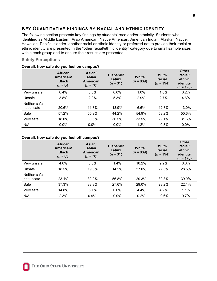### <span id="page-15-0"></span>**KEY QUANTITATIVE FINDINGS BY RACIAL AND ETHNIC IDENTITY**

The following section presents key findings by students' race and/or ethnicity. Students who identified as Middle Eastern, Arab American, Native American, American Indian, Alaskan Native, Hawaiian, Pacific Islander, another racial or ethnic identity or preferred not to provide their racial or ethnic identity are presented in the "other racial/ethnic identity" category due to small sample sizes within each group and to ensure their results are presented.

### **Safety Perceptions**

|                            | <b>African</b><br>American/<br><b>Black</b><br>$(n = 84)$ | Asian/<br>Asian<br>American<br>$(n = 70)$ | Hispanic/<br>Latinx<br>$(n = 31)$ | White<br>$(n = 889)$ | Multi-<br>racial<br>$(n = 194)$ | <b>Other</b><br>racial/<br>ethnic<br>identity<br>( <i>n</i> = 176) |
|----------------------------|-----------------------------------------------------------|-------------------------------------------|-----------------------------------|----------------------|---------------------------------|--------------------------------------------------------------------|
| Very unsafe                | 0.4%                                                      | $0.0\%$                                   | $0.0\%$                           | 1.0%                 | 1.8%                            | 0.2%                                                               |
| Unsafe                     | 3.8%                                                      | 2.3%                                      | 5.3%                              | 2.9%                 | 2.7%                            | 4.6%                                                               |
| Neither safe<br>not unsafe | 20.6%                                                     | 11.3%                                     | 13.9%                             | 6.6%                 | 12.8%                           | 13.0%                                                              |
| Safe                       | 57.2%                                                     | 55.9%                                     | 44.2%                             | 54.9%                | 53.2%                           | 50.6%                                                              |
| Very safe                  | 18.0%                                                     | 30.6%                                     | 36.5%                             | 33.5%                | 29.1%                           | 31.6%                                                              |
| N/A                        | 0.0%                                                      | 0.0%                                      | 0.0%                              | 1.2%                 | 0.3%                            | $0.0\%$                                                            |

#### **Overall, how safe do you feel on campus?**

#### **Overall, how safe do you feel off campus?**

|                            | <b>African</b><br>American/<br><b>Black</b><br>$(n = 83)$ | Asian/<br><b>Asian</b><br>American<br>$(n = 70)$ | Hispanic/<br>Latinx<br>$(n = 31)$ | White<br>$(n = 889)$ | Multi-<br>racial<br>$= 194$<br>(n | <b>Other</b><br>racial/<br>ethnic<br>identity<br>$(n = 176)$ |
|----------------------------|-----------------------------------------------------------|--------------------------------------------------|-----------------------------------|----------------------|-----------------------------------|--------------------------------------------------------------|
| Very unsafe                | 4.0%                                                      | 3.5%                                             | 1.4%                              | 10.2%                | 9.2%                              | 8.6%                                                         |
| Unsafe                     | 18.5%                                                     | 19.3%                                            | 14.2%                             | 27.0%                | 27.5%                             | 28.5%                                                        |
| Neither safe<br>not unsafe | 23.1%                                                     | 32.9%                                            | 56.8%                             | 29.3%                | 30.3%                             | 39.0%                                                        |
| Safe                       | 37.3%                                                     | 38.3%                                            | 27.6%                             | 29.0%                | 28.2%                             | 22.1%                                                        |
| Very safe                  | 14.8%                                                     | 5.1%                                             | 0.0%                              | 4.4%                 | 4.2%                              | 1.1%                                                         |
| N/A                        | 2.3%                                                      | 0.9%                                             | $0.0\%$                           | 0.2%                 | 0.6%                              | 0.7%                                                         |

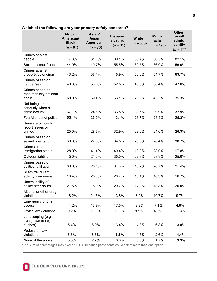|                                                                                                                                 | <b>African</b><br>American/<br><b>Black</b><br>$(n = 84)$ | Asian/<br>Asian<br><b>American</b><br>$(n = 70)$ | <b>Hispanic</b><br>/ Latinx<br>$(n = 31)$ | <b>White</b><br>$(n = 888)$ | Multi-<br>racial<br>$(n = 193)$ | <b>Other</b><br>racial/<br>ethnic<br>identity<br>$(n = 177)$ |
|---------------------------------------------------------------------------------------------------------------------------------|-----------------------------------------------------------|--------------------------------------------------|-------------------------------------------|-----------------------------|---------------------------------|--------------------------------------------------------------|
| Crimes against<br>people                                                                                                        | 77.3%                                                     | 81.0%                                            | 89.1%                                     | 85.4%                       | 86.3%                           | 82.1%                                                        |
| Sexual assault/rape                                                                                                             | 44.9%                                                     | 40.7%                                            | 55.5%                                     | 62.5%                       | 66.0%                           | 56.0%                                                        |
| Crimes against<br>property/belongings                                                                                           | 43.2%                                                     | 56.1%                                            | 45.9%                                     | 56.0%                       | 54.7%                           | 63.7%                                                        |
| Crimes based on<br>gender/sex                                                                                                   | 48.3%                                                     | 50.6%                                            | 52.5%                                     | 46.5%                       | 50.4%                           | 47.6%                                                        |
| Crimes based on<br>race/ethnicity/national<br>origin                                                                            | 68.0%                                                     | 69.4%                                            | 63.1%                                     | 28.6%                       | 45.3%                           | 35.3%                                                        |
| Not being taken<br>seriously when a<br>crime occurs                                                                             | 37.1%                                                     | 24.6%                                            | 33.8%                                     | 32.6%                       | 39.9%                           | 32.9%                                                        |
| Fear/distrust of police                                                                                                         | 55.1%                                                     | 26.0%                                            | 43.1%                                     | 23.7%                       | 28.9%                           | 25.3%                                                        |
| Unaware of how to<br>report issues or<br>crimes                                                                                 | 25.0%                                                     | 28.6%                                            | 32.9%                                     | 28.6%                       | 24.6%                           | 26.3%                                                        |
| Crimes based on<br>sexual orientation                                                                                           | 33.6%                                                     | 27.3%                                            | 34.5%                                     | 23.5%                       | 26.4%                           | 30.7%                                                        |
| Crimes based on<br>immigration status                                                                                           | 28.9%                                                     | 41.4%                                            | 40.4%                                     | 13.9%                       | 28.0%                           | 17.8%                                                        |
| Outdoor lighting                                                                                                                | 15.0%                                                     | 21.2%                                            | 35.0%                                     | 22.8%                       | 23.9%                           | 25.0%                                                        |
| Crimes based on<br>political affiliation                                                                                        | 33.0%                                                     | 25.4%                                            | 37.3%                                     | 18.2%                       | 26.7%                           | 21.4%                                                        |
| Scam/fraudulent<br>activity awareness                                                                                           | 16.4%                                                     | 25.0%                                            | 20.7%                                     | 18.1%                       | 18.3%                           | 16.7%                                                        |
| Unavailability of<br>police after hours                                                                                         | 21.5%                                                     | 15.9%                                            | 20.7%                                     | 14.0%                       | 13.8%                           | 20.0%                                                        |
| Alcohol or other drug<br>violations                                                                                             | 18.2%                                                     | 21.5%                                            | 13.8%                                     | 8.0%                        | 10.7%                           | 9.7%                                                         |
| Emergency phone<br>access                                                                                                       | 11.2%                                                     | 13.9%                                            | 17.5%                                     | 8.8%                        | 7.1%                            | 4.9%                                                         |
| Traffic law violations                                                                                                          | 9.2%                                                      | 15.3%                                            | 10.0%                                     | 8.1%                        | 5.7%                            | 8.4%                                                         |
| Landscaping (e.g.,<br>overgrown trees,<br>bushes)                                                                               | 5.4%                                                      | 6.0%                                             | 3.4%                                      | 4.3%                        | 6.8%                            | 3.0%                                                         |
| Pedestrian law<br>violations                                                                                                    | 6.6%                                                      | 8.6%                                             | 6.6%                                      | 4.5%                        | 2.6%                            | 4.4%                                                         |
| None of the above<br><sup>4</sup> The sum of perceptages may exceed 100% because participants could select more than one option | 5.5%                                                      | 2.7%                                             | 0.0%                                      | 3.0%                        | 1.7%                            | 3.3%                                                         |

### **Which of the following are your primary safety concerns?<sup>4</sup>**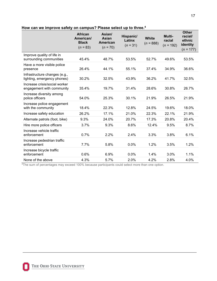|                                                              | <b>African</b><br>American/<br><b>Black</b><br>$(n = 83)$ | Asian/<br>Asian<br>American<br>$(n = 70)$ | Hispanic/<br>Latinx<br>$(n = 31)$ | <b>White</b><br>$(n = 888)$ | Multi-<br>racial<br>$(n = 192)$ | <b>Other</b><br>racial/<br>ethnic<br>identity<br>$(n = 177)$ |
|--------------------------------------------------------------|-----------------------------------------------------------|-------------------------------------------|-----------------------------------|-----------------------------|---------------------------------|--------------------------------------------------------------|
| Improve quality of life in<br>surrounding communities        | 45.4%                                                     | 48.7%                                     | 53.5%                             | 52.7%                       | 49.6%                           | 53.5%                                                        |
| Have a more visible police<br>presence                       | 26.4%                                                     | 44.1%                                     | 55.1%                             | 37.4%                       | 34.9%                           | 36.6%                                                        |
| Infrastructure changes (e.g.,<br>lighting, emergency phones) | 30.2%                                                     | 32.5%                                     | 43.9%                             | 36.2%                       | 41.7%                           | 32.5%                                                        |
| Increase crisis/social worker<br>engagement with community   | 35.4%                                                     | 19.7%                                     | 31.4%                             | 28.6%                       | 30.8%                           | 26.7%                                                        |
| Increase diversity among<br>police officers                  | 54.0%                                                     | 25.3%                                     | 30.1%                             | 21.9%                       | 26.5%                           | 21.9%                                                        |
| Increase police engagement<br>with the community             | 18.4%                                                     | 22.3%                                     | 12.8%                             | 24.5%                       | 19.6%                           | 18.0%                                                        |
| Increase safety education                                    | 26.2%                                                     | 17.1%                                     | 21.0%                             | 22.3%                       | 22.1%                           | 21.9%                                                        |
| Alternate patrols (foot, bike)                               | 9.3%                                                      | 24.0%                                     | 20.7%                             | 17.3%                       | 20.8%                           | 20.4%                                                        |
| Hire more police officers                                    | 3.7%                                                      | 9.3%                                      | 8.6%                              | 12.4%                       | 9.5%                            | 8.7%                                                         |
| Increase vehicle traffic<br>enforcement                      | 0.7%                                                      | 2.2%                                      | 2.4%                              | 3.3%                        | 3.8%                            | 6.1%                                                         |
| Increase pedestrian traffic<br>enforcement                   | 7.7%                                                      | 5.8%                                      | 0.0%                              | 1.2%                        | 3.5%                            | 1.2%                                                         |
| Increase bicycle traffic<br>enforcement                      | 0.6%                                                      | 6.9%                                      | 0.0%                              | 1.4%                        | 3.0%                            | 1.1%                                                         |
| None of the above                                            | 4.3%                                                      | 5.7%                                      | 2.0%                              | 4.2%                        | 2.8%                            | 4.0%                                                         |

#### **How can we improve safety on campus? Please select up to three.<sup>4</sup>**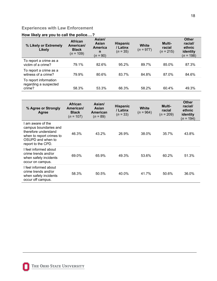### **Experiences with Law Enforcement**

### **How likely are you to call the police….?**

| % Likely or Extremely<br>Likely                          | <b>African</b><br>American/<br><b>Black</b><br>$(n = 109)$ | Asian/<br>Asian<br><b>America</b><br>n<br>$(n = 90)$ | <b>Hispanic</b><br>/ Latinx<br>$(n = 35)$ | <b>White</b><br>$(n = 977)$ | <b>Multi-</b><br>racial<br>$(n = 215)$ | <b>Other</b><br>racial/<br>ethnic<br>identity<br>$(n = 198)$ |
|----------------------------------------------------------|------------------------------------------------------------|------------------------------------------------------|-------------------------------------------|-----------------------------|----------------------------------------|--------------------------------------------------------------|
| To report a crime as a<br>victim of a crime?             | 79.1%                                                      | 82.6%                                                | 95.2%                                     | 89.7%                       | 85.0%                                  | 87.3%                                                        |
| To report a crime as a<br>witness of a crime?            | 79.9%                                                      | 80.6%                                                | 83.7%                                     | 84.8%                       | 87.0%                                  | 84.6%                                                        |
| To report information<br>regarding a suspected<br>crime? | 58.3%                                                      | 53.3%                                                | 66.3%                                     | 58.2%                       | 60.4%                                  | 49.3%                                                        |

| % Agree or Strongly<br>Agree                                                                                                            | African<br>American/<br><b>Black</b><br>$(n = 107)$ | Asian/<br>Asian<br><b>American</b><br>$(n = 89)$ | <b>Hispanic</b><br>/ Latinx<br>$(n = 33)$ | White<br>$(n = 964)$ | Multi-<br>racial<br>$(n = 209)$ | <b>Other</b><br>racial/<br>ethnic<br>identity<br>( <i>n</i> = 194) |
|-----------------------------------------------------------------------------------------------------------------------------------------|-----------------------------------------------------|--------------------------------------------------|-------------------------------------------|----------------------|---------------------------------|--------------------------------------------------------------------|
| am aware of the<br>campus boundaries and<br>therefore understand<br>when to report crimes to<br>OSUPD and when to<br>report to the CPD. | 46.3%                                               | 43.2%                                            | 26.9%                                     | 38.0%                | 35.7%                           | 43.8%                                                              |
| l feel informed about<br>crime trends and/or<br>when safety incidents<br>occur on campus.                                               | 69.0%                                               | 65.9%                                            | 49.3%                                     | 53.6%                | 60.2%                           | 51.3%                                                              |
| I feel informed about<br>crime trends and/or<br>when safety incidents<br>occur off campus.                                              | 58.3%                                               | 50.5%                                            | 40.0%                                     | 41.7%                | 50.6%                           | 36.0%                                                              |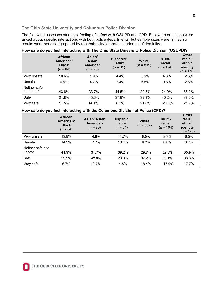### **The Ohio State University and Columbus Police Division**

The following assesses students' feeling of safety with OSUPD and CPD. Follow-up questions were asked about specific interactions with both police departments, but sample sizes were limited so results were not disaggregated by race/ethnicity to protect student confidentiality.

|                            | <b>African</b><br>American/<br><b>Black</b><br>$(n = 84)$ | Asian/<br>Asian<br><b>American</b><br>$(n = 70)$ | Hispanic/<br>Latinx<br>$(n = 31)$ | White<br>$(n = 891)$ | Multi-<br>racial<br>$(n = 194)$ | <b>Other</b><br>racial/<br>ethnic<br>identity<br>$(n = 176)$ |
|----------------------------|-----------------------------------------------------------|--------------------------------------------------|-----------------------------------|----------------------|---------------------------------|--------------------------------------------------------------|
| Very unsafe                | 10.6%                                                     | 1.9%                                             | 4.4%                              | $3.2\%$              | 4.8%                            | 2.3%                                                         |
| Unsafe                     | 6.5%                                                      | 4.7%                                             | 7.4%                              | 6.6%                 | 9.8%                            | 2.6%                                                         |
| Neither safe<br>nor unsafe | 43.6%                                                     | 33.7%                                            | 44.5%                             | 29.3%                | 24.9%                           | 35.2%                                                        |
| Safe                       | 21.8%                                                     | 45.6%                                            | 37.6%                             | 39.3%                | 40.2%                           | 38.0%                                                        |
| Very safe                  | 17.5%                                                     | 14.1%                                            | 6.1%                              | 21.6%                | 20.3%                           | 21.9%                                                        |

### **How safe do you feel interacting with The Ohio State University Police Division (OSUPD)?**

**How safe do you feel interacting with the Columbus Division of Police (CPD)?** 

|                            | <b>African</b><br>American/<br><b>Black</b><br>$(n = 84)$ | Asian/Asian<br>American<br>$(n = 70)$ | Hispanic/<br>Latinx<br>$(n = 31)$ | White<br>$(n = 887)$ | Multi-<br>racial<br>$(n = 194)$ | <b>Other</b><br>racial/<br>ethnic<br>identity<br>$(n = 176)$ |
|----------------------------|-----------------------------------------------------------|---------------------------------------|-----------------------------------|----------------------|---------------------------------|--------------------------------------------------------------|
| Very unsafe                | 13.9%                                                     | 4.9%                                  | 11.7%                             | 6.5%                 | 8.7%                            | 6.5%                                                         |
| Unsafe                     | 14.3%                                                     | 7.7%                                  | 18.4%                             | 8.2%                 | 8.8%                            | 6.7%                                                         |
| Neither safe nor<br>unsafe | 41.9%                                                     | 31.7%                                 | 39.2%                             | 29.7%                | 32.3%                           | 35.9%                                                        |
| Safe                       | 23.3%                                                     | 42.0%                                 | 26.0%                             | 37.2%                | 33.1%                           | 33.3%                                                        |
| Very safe                  | 6.7%                                                      | 13.7%                                 | 4.8%                              | 18.4%                | 17.0%                           | 17.7%                                                        |

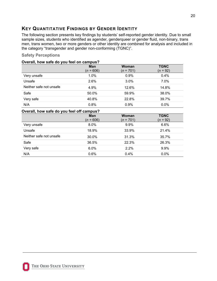### <span id="page-20-0"></span>**KEY QUANTITATIVE FINDINGS BY GENDER IDENTITY**

The following section presents key findings by students' self-reported gender identity. Due to small sample sizes, students who identified as agender, genderqueer or gender fluid, non-binary, trans men, trans women, two or more genders or other identity are combined for analysis and included in the category "transgender and gender non-conforming (TGNC)".

### **Safety Perceptions**

### **Overall, how safe do you feel on campus?**

|                         | Man<br>$(n = 606)$ | Woman<br>$(n = 701)$ | <b>TGNC</b><br>$(n = 92)$ |
|-------------------------|--------------------|----------------------|---------------------------|
| Very unsafe             | 1.0%               | 0.9%                 | 0.4%                      |
| Unsafe                  | 2.6%               | 3.0%                 | 7.0%                      |
| Neither safe not unsafe | 4.9%               | 12.6%                | 14.8%                     |
| Safe                    | 50.0%              | 59.9%                | 38.0%                     |
| Very safe               | 40.8%              | 22.8%                | 39.7%                     |
| N/A                     | 0.8%               | 0.9%                 | 0.0%                      |

### **Overall, how safe do you feel off campus?**

|                         | Man<br>$(n = 606)$ | <b>Woman</b><br>$(n = 701)$ | <b>TGNC</b><br>$(n = 92)$ |
|-------------------------|--------------------|-----------------------------|---------------------------|
| Very unsafe             | 8.0%               | 9.9%                        | 6.6%                      |
| Unsafe                  | 18.9%              | 33.9%                       | 21.4%                     |
| Neither safe not unsafe | 30.0%              | 31.3%                       | 35.7%                     |
| Safe                    | 36.5%              | 22.3%                       | 26.3%                     |
| Very safe               | 6.0%               | 2.2%                        | 9.9%                      |
| N/A                     | 0.6%               | 0.4%                        | 0.0%                      |

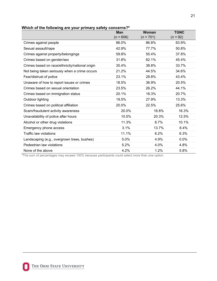| --- -<br>$ -$                                  | <b>Man</b>  | <b>Woman</b> | <b>TGNC</b> |
|------------------------------------------------|-------------|--------------|-------------|
|                                                | $(n = 606)$ | $(n = 701)$  | $(n = 92)$  |
| Crimes against people                          | 86.0%       | 86.8%        | 63.9%       |
| Sexual assault/rape                            | 42.9%       | 77.7%        | 50.8%       |
| Crimes against property/belongings             | 59.8%       | 55.4%        | 37.8%       |
| Crimes based on gender/sex                     | 31.8%       | 62.1%        | 45.4%       |
| Crimes based on race/ethnicity/national origin | 35.4%       | 38.8%        | 33.7%       |
| Not being taken seriously when a crime occurs  | 21.2%       | 44.5%        | 34.6%       |
| Fear/distrust of police                        | 23.1%       | 28.8%        | 43.4%       |
| Unaware of how to report issues or crimes      | 18.5%       | 36.9%        | 20.5%       |
| Crimes based on sexual orientation             | 23.5%       | 26.2%        | 44.1%       |
| Crimes based on immigration status             | 20.1%       | 18.3%        | 20.7%       |
| Outdoor lighting                               | 19.5%       | 27.9%        | 13.3%       |
| Crimes based on political affiliation          | 20.0%       | 22.5%        | 25.6%       |
| Scam/fraudulent activity awareness             | 20.0%       | 16.8%        | 16.3%       |
| Unavailability of police after hours           | 10.5%       | 20.3%        | 12.5%       |
| Alcohol or other drug violations               | 11.3%       | 8.7%         | 10.1%       |
| Emergency phone access                         | 3.1%        | 13.7%        | 6.4%        |
| <b>Traffic law violations</b>                  | 11.1%       | 6.2%         | 6.3%        |
| Landscaping (e.g., overgrown trees, bushes)    | 5.0%        | 4.9%         | 0.0%        |
| Pedestrian law violations                      | 5.2%        | 4.0%         | 4.8%        |
| None of the above                              | 4.2%        | 1.2%         | 5.8%        |

**Which of the following are your primary safety concerns?<sup>4</sup>**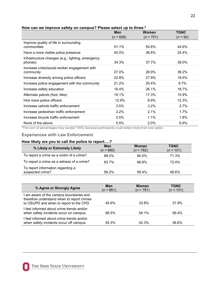| - - - - - -                                       | <b>Man</b>  | Woman       | <b>TGNC</b> |
|---------------------------------------------------|-------------|-------------|-------------|
|                                                   | $(n = 606)$ | $(n = 701)$ | $(n = 92)$  |
| Improve quality of life in surrounding            |             |             |             |
| communities                                       | 51.1%       | 54.6%       | 44.6%       |
| Have a more visible police presence               | 40.0%       | 36.8%       | 24.4%       |
| Infrastructure changes (e.g., lighting, emergency |             |             |             |
| phones)                                           | 34.3%       | 37.7%       | 39.0%       |
| Increase crisis/social worker engagement with     |             |             |             |
| community                                         | 27.0%       | 28.9%       | 38.2%       |
| Increase diversity among police officers          | 22.8%       | 27.9%       | 18.5%       |
| Increase police engagement with the community     | 21.2%       | 25.4%       | 9.7%        |
| Increase safety education                         | 18.4%       | 26.1%       | 18.7%       |
| Alternate patrols (foot, bike)                    | 19.1%       | 17.3%       | 15.9%       |
| Hire more police officers                         | 12.9%       | 8.9%        | 12.3%       |
| Increase vehicle traffic enforcement              | 3.5%        | 3.2%        | 2.7%        |
| Increase pedestrian traffic enforcement           | 2.2%        | 2.1%        | $1.7\%$     |
| Increase bicycle traffic enforcement              | 2.5%        | 1.1%        | 1.8%        |
| None of the above                                 | 5.5%        | 2.0%        | 6.9%        |

### **How can we improve safety on campus? Please select up to three.<sup>4</sup>**

<sup>4</sup>The sum of percentages may exceed 100% because participants could select more than one option.

### **Experiences with Law Enforcement**

#### **How likely are you to call the police to report….?**

| % Likely or Extremely Likely                          | <b>Man</b><br>$(n = 660)$ | Woman<br>$(n = 782)$ | <b>TGNC</b><br>$(n = 101)$ |
|-------------------------------------------------------|---------------------------|----------------------|----------------------------|
| To report a crime as a victim of a crime?             | 88.0%                     | 90.0%                | 71.3%                      |
| To report a crime as a witness of a crime?            | 83.7%                     | 86.8%                | 72.4%                      |
| To report information regarding a<br>suspected crime? | 56.2%                     | 59.4%                | 48.6%                      |

| % Agree or Strongly Agree                                                                                                      | <b>Man</b><br>$(n = 661)$ | Woman<br>$(n = 781)$ | <b>TGNC</b><br>$(n = 101)$ |
|--------------------------------------------------------------------------------------------------------------------------------|---------------------------|----------------------|----------------------------|
| am aware of the campus boundaries and<br>therefore understand when to report crimes<br>to OSUPD and when to report to the CPD. | 45.6%                     | 33.8%                | 37.9%                      |
| feel informed about crime trends and/or<br>when safety incidents occur on campus.                                              | 56.5%                     | 54.1%                | 56.4%                      |
| feel informed about crime trends and/or<br>when safety incidents occur off campus.                                             | 45.3%                     | 42.3%                | 36.6%                      |

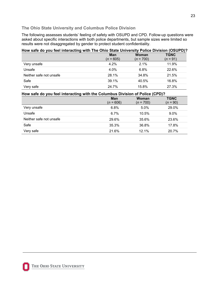### **The Ohio State University and Columbus Police Division**

The following assesses students' feeling of safety with OSUPD and CPD. Follow-up questions were asked about specific interactions with both police departments, but sample sizes were limited so results were not disaggregated by gender to protect student confidentiality.

| How safe do you feel interacting with The Ohio State University Police Division (OSUPD)? |                           |                      |                           |  |  |
|------------------------------------------------------------------------------------------|---------------------------|----------------------|---------------------------|--|--|
|                                                                                          | <b>Man</b><br>$(n = 605)$ | Woman<br>$(n = 700)$ | <b>TGNC</b><br>$(n = 91)$ |  |  |
| Very unsafe                                                                              | $4.2\%$                   | $2.1\%$              | 11.9%                     |  |  |
| Unsafe                                                                                   | 4.0%                      | 6.8%                 | 22.6%                     |  |  |
| Neither safe not unsafe                                                                  | 28.1%                     | 34.8%                | 21.5%                     |  |  |
| Safe                                                                                     | 39.1%                     | 40.5%                | 16.8%                     |  |  |
| Very safe                                                                                | 24.7%                     | 15.8%                | 27.3%                     |  |  |

### **How safe do you feel interacting with the Columbus Division of Police (CPD)?**

|                         | <b>Man</b><br>$(n = 606)$ | <b>Woman</b><br>$(n = 700)$ | <b>TGNC</b><br>$(n = 90)$ |
|-------------------------|---------------------------|-----------------------------|---------------------------|
| Very unsafe             | 6.8%                      | 5.0%                        | 29.0%                     |
| Unsafe                  | 6.7%                      | 10.5%                       | 9.0%                      |
| Neither safe not unsafe | 29.6%                     | 35.6%                       | 23.6%                     |
| Safe                    | 35.3%                     | 36.8%                       | 17.8%                     |
| Very safe               | 21.6%                     | 12.1%                       | 20.7%                     |



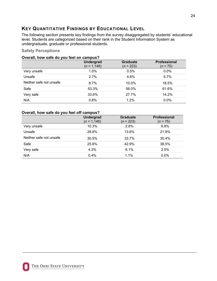### <span id="page-24-0"></span>**KEY QUANTITATIVE FINDINGS BY EDUCATIONAL LEVEL**

The following section presents key findings from the survey disaggregated by students' educational level. Students are categorized based on their rank in the Student Information System as undergraduate, graduate or professional students.

### **Safety Perceptions**

| Overall, how safe do you feel on campus? |                 |
|------------------------------------------|-----------------|
| Undergrad                                | <b>Graduate</b> |
| $(n = 1.146)$                            | $(n = 223)$     |

|                         | $(n = 1, 146)$ | $(n = 223)$ | $(n = 75)$ |
|-------------------------|----------------|-------------|------------|
| Very unsafe             | 1.0%           | 0.5%        | $0.0\%$    |
| Unsafe                  | 2.7%           | 4.6%        | 5.7%       |
| Neither safe not unsafe | 8.7%           | 10.0%       | 18.5%      |
| Safe                    | 53.3%          | 56.0%       | 61.6%      |
| Very safe               | 33.6%          | 27.7%       | 14.2%      |
| N/A                     | 0.8%           | 1.2%        | 0.0%       |

### **Overall, how safe do you feel off campus?**

|                         | <b>Undergrad</b><br>$(n = 1, 146)$ | <b>Graduate</b><br>$(n = 223)$ | <b>Professional</b><br>$(n = 75)$ |
|-------------------------|------------------------------------|--------------------------------|-----------------------------------|
| Very unsafe             | 10.3%                              | 2.8%                           | 6.8%                              |
| Unsafe                  | 28.8%                              | 13.6%                          | 21.9%                             |
| Neither safe not unsafe | 30.5%                              | 33.7%                          | 30.4%                             |
| Safe                    | 25.6%                              | 42.9%                          | 38.5%                             |
| Very safe               | 4.3%                               | 6.1%                           | 2.5%                              |
| N/A                     | 0.4%                               | 1.1%                           | 0.0%                              |

**Professional**

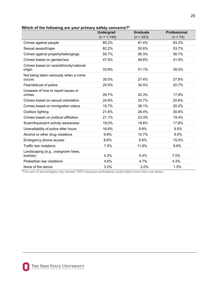|                                                   | <b>Graduate</b><br><b>Undergrad</b> |             | <b>Professional</b> |
|---------------------------------------------------|-------------------------------------|-------------|---------------------|
|                                                   | $(n = 1, 145)$                      | $(n = 223)$ | $(n = 74)$          |
| Crimes against people                             | 85.2%                               | 81.4%       | 83.2%               |
| Sexual assault/rape                               | 62.2%                               | 50.6%       | 53.7%               |
| Crimes against property/belongings                | 55.7%                               | 56.3%       | 56.7%               |
| Crimes based on gender/sex                        | 47.5%                               | 49.8%       | 41.9%               |
| Crimes based on race/ethnicity/national<br>origin | 33.8%                               | 51.1%       | 38.0%               |
| Not being taken seriously when a crime<br>occurs  | 35.0%                               | 27.4%       | 27.8%               |
| Fear/distrust of police                           | 25.9%                               | 34.5%       | 20.7%               |
| Unaware of how to report issues or<br>crimes      | 29.7%                               | 20.3%       | 17.9%               |
| Crimes based on sexual orientation                | 24.8%                               | 32.7%       | 20.6%               |
| Crimes based on immigration status                | 15.7%                               | 36.1%       | 20.2%               |
| Outdoor lighting                                  | 21.8%                               | 26.4%       | 30.6%               |
| Crimes based on political affiliation             | 21.1%                               | 23.3%       | 19.4%               |
| Scam/fraudulent activity awareness                | 18.0%                               | 19.8%       | 17.8%               |
| Unavailability of police after hours              | 16.8%                               | 9.8%        | 9.5%                |
| Alcohol or other drug violations                  | 9.8%                                | 10.7%       | 9.5%                |
| Emergency phone access                            | 8.6%                                | 6.6%        | 15.0%               |
| Traffic law violations                            | 7.5%                                | 11.6%       | 9.8%                |
| Landscaping (e.g., overgrown trees,<br>bushes)    | 4.3%                                | 5.4%        | 7.0%                |
| Pedestrian law violations                         | 4.6%                                | 4.7%        | 4.3%                |
| None of the above                                 | 3.2%                                | 2.0%        | 1.5%                |

**Which of the following are your primary safety concerns?<sup>4</sup>**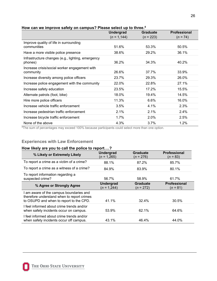|                                                   | <b>Undergrad</b> | <b>Graduate</b> | Professional |
|---------------------------------------------------|------------------|-----------------|--------------|
|                                                   | $(n = 1, 144)$   | $(n = 223)$     | $(n = 74)$   |
| Improve quality of life in surrounding            |                  |                 |              |
| communities                                       | 51.6%            | 53.3%           | 50.5%        |
| Have a more visible police presence               | 38.6%            | 29.2%           | 36.1%        |
| Infrastructure changes (e.g., lighting, emergency |                  |                 |              |
| phones)                                           | 36.2%            | 34.3%           | 40.2%        |
| Increase crisis/social worker engagement with     |                  |                 |              |
| community                                         | 26.6%            | 37.7%           | 33.9%        |
| Increase diversity among police officers          | 23.7%            | 29.3%           | 26.0%        |
| Increase police engagement with the community     | 22.0%            | 22.8%           | 27.1%        |
| Increase safety education                         | 23.5%            | 17.2%           | 15.5%        |
| Alternate patrols (foot, bike)                    | 18.0%            | 19.4%           | 14.5%        |
| Hire more police officers                         | 11.3%            | 6.6%            | 16.0%        |
| Increase vehicle traffic enforcement              | 3.5%             | 4.1%            | 2.3%         |
| Increase pedestrian traffic enforcement           | 2.1%             | 2.1%            | 2.4%         |
| Increase bicycle traffic enforcement              | 1.7%             | 2.0%            | 2.5%         |
| None of the above                                 | 4.3%             | 3.7%            | 1.2%         |

#### **How can we improve safety on campus? Please select up to three.<sup>4</sup>**

<sup>4</sup>The sum of percentages may exceed 100% because participants could select more than one option.

### **Experiences with Law Enforcement**

### **How likely are you to call the police to report….?**

| % Likely or Extremely Likely                                                                                                     | <b>Undergrad</b><br>$(n = 1,265)$ | <b>Graduate</b><br>$(n = 276)$ | <b>Professional</b><br>$(n = 83)$ |
|----------------------------------------------------------------------------------------------------------------------------------|-----------------------------------|--------------------------------|-----------------------------------|
| To report a crime as a victim of a crime?                                                                                        | 88.1%                             | 87.2%                          | 85.7%                             |
| To report a crime as a witness of a crime?                                                                                       | 84.9%                             | 83.9%                          | 80.1%                             |
| To report information regarding a<br>suspected crime?                                                                            | 56.7%                             | 58.9%                          | 61.7%                             |
| % Agree or Strongly Agree                                                                                                        | <b>Undergrad</b><br>$(n = 1,244)$ | <b>Graduate</b><br>$(n = 272)$ | Professional<br>$(n = 81)$        |
| I am aware of the campus boundaries and<br>therefore understand when to report crimes<br>to OSUPD and when to report to the CPD. | 41.1%                             | 32.4%                          | 30.5%                             |
| I feel informed about crime trends and/or<br>when safety incidents occur on campus.                                              | 53.9%                             | 62.1%                          | 64.6%                             |
| I feel informed about crime trends and/or<br>when safety incidents occur off campus.                                             | 43.1%                             | 46.4%                          | 44.0%                             |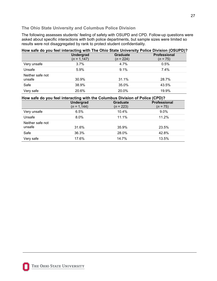### **The Ohio State University and Columbus Police Division**

The following assesses students' feeling of safety with OSUPD and CPD. Follow-up questions were asked about specific interactions with both police departments, but sample sizes were limited so results were not disaggregated by rank to protect student confidentiality.

|                            |                                    |                                | How safe do you feel interacting with The Ohio State University Police Division (OSUPD)? |
|----------------------------|------------------------------------|--------------------------------|------------------------------------------------------------------------------------------|
|                            | <b>Undergrad</b><br>$(n = 1, 147)$ | <b>Graduate</b><br>$(n = 224)$ | <b>Professional</b><br>$(n = 75)$                                                        |
| Very unsafe                | 3.7%                               | 4.7%                           | 0.5%                                                                                     |
| Unsafe                     | 5.9%                               | 9.1%                           | $7.4\%$                                                                                  |
| Neither safe not<br>unsafe | 30.9%                              | 31.1%                          | 28.7%                                                                                    |
| Safe                       | 38.9%                              | 35.0%                          | 43.5%                                                                                    |
| Very safe                  | 20.6%                              | 20.0%                          | 19.9%                                                                                    |

#### **How safe do you feel interacting with the Columbus Division of Police (CPD)?**

|                            | <b>Undergrad</b><br>$(n = 1, 144)$ | Graduate<br>$(n = 223)$ | Professional<br>$(n = 75)$ |
|----------------------------|------------------------------------|-------------------------|----------------------------|
| Very unsafe                | 6.5%                               | 10.4%                   | $9.0\%$                    |
| Unsafe                     | 8.0%                               | 11.1%                   | 11.2%                      |
| Neither safe not<br>unsafe | 31.6%                              | 35.9%                   | 23.5%                      |
| Safe                       | 36.3%                              | 28.0%                   | 42.8%                      |
| Very safe                  | 17.6%                              | 14.7%                   | 13.5%                      |



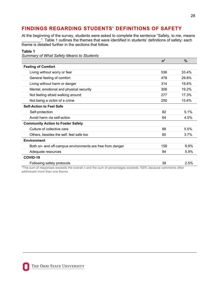### <span id="page-28-0"></span>**FINDINGS REGARDING STUDENTS' DEFINITIONS OF SAFETY**

At the beginning of the survey, students were asked to complete the sentence "Safety, to me, means \_". Table 1 outlines the themes that were identified in students' definitions of safety; each theme is detailed further in the sections that follow.

### **Table 1**

*Summary of What Safety Means to Students*

|                                                           | $n^7$ | $\%$  |
|-----------------------------------------------------------|-------|-------|
| <b>Feeling of Comfort</b>                                 |       |       |
| Living without worry or fear                              | 536   | 33.4% |
| General feeling of comfort                                | 478   | 29.8% |
| Living without harm or danger                             | 314   | 19.6% |
| Mental, emotional and physical security                   | 308   | 19.2% |
| Not feeling afraid walking around                         | 277   | 17.3% |
| Not being a victim of a crime                             | 250   | 15.6% |
| <b>Self-Action to Feel Safe</b>                           |       |       |
| Self-protection                                           | 82    | 5.1%  |
| Avoid harm via self-action                                | 64    | 4.0%  |
| <b>Community Action to Foster Safety</b>                  |       |       |
| Culture of collective care                                | 88    | 5.5%  |
| Others, besides the self, feel safe too                   | 60    | 3.7%  |
| <b>Environment</b>                                        |       |       |
| Both on- and off-campus environments are free from danger | 158   | 9.9%  |
| Adequate resources                                        | 94    | 5.9%  |
| COVID-19                                                  |       |       |
| Following safety protocols                                | 39    | 2.5%  |

7The sum of responses exceeds the overall *n* and the sum of percentages exceeds 100% because comments often addressed more than one theme.

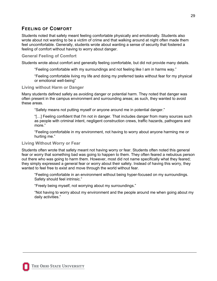### **FEELING OF COMFORT**

Students noted that safety meant feeling comfortable physically and emotionally. Students also wrote about not wanting to be a victim of crime and that walking around at night often made them feel uncomfortable. Generally, students wrote about wanting a sense of security that fostered a feeling of comfort without having to worry about danger.

### **General Feeling of Comfort**

Students wrote about comfort and generally feeling comfortable, but did not provide many details.

"Feeling comfortable with my surroundings and not feeling like I am in harms way."

 "Feeling comfortable living my life and doing my preferred tasks without fear for my physical or emotional well-being"

### **Living without Harm or Danger**

Many students defined safety as avoiding danger or potential harm. They noted that danger was often present in the campus environment and surrounding areas; as such, they wanted to avoid these areas.

"Safety means not putting myself or anyone around me in potential danger."

 "[…] Feeling confident that I'm not in danger. That includes danger from many sources such as people with criminal intent, negligent construction crews, traffic hazards, pathogens and more."

 "Feeling comfortable in my environment, not having to worry about anyone harming me or hurting me."

### **Living Without Worry or Fear**

Students often wrote that safety meant not having worry or fear. Students often noted this general fear or worry that something bad was going to happen to them. They often feared a nebulous person out there who was going to harm them. However, most did not name specifically what they feared; they simply expressed a general fear or worry about their safety. Instead of having this worry, they wanted to feel free to exist and move through the world without fear.

"Feeling comfortable in an environment without being hyper-focused on my surroundings. Safety should feel intrinsic."

"Freely being myself, not worrying about my surroundings."

 "Not having to worry about my environment and the people around me when going about my daily activities."

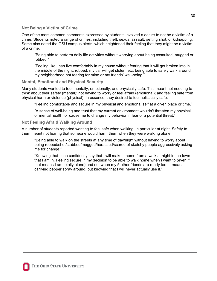#### **Not Being a Victim of Crime**

One of the most common comments expressed by students involved a desire to not be a victim of a crime. Students noted a range of crimes, including theft, sexual assault, getting shot, or kidnapping. Some also noted the OSU campus alerts, which heightened their feeling that they might be a victim of a crime.

 "Being able to perform daily life activities without worrying about being assaulted, mugged or robbed."

"Feeling like I can live comfortably in my house without fearing that it will get broken into in the middle of the night, robbed, my car will get stolen, etc. being able to safely walk around my neighborhood not fearing for mine or my friends' well-being."

#### **Mental, Emotional and Physical Security**

Many students wanted to feel mentally, emotionally, and physically safe. This meant not needing to think about their safety (mental); not having to worry or feel afraid (emotional); and feeling safe from physical harm or violence (physical). In essence, they desired to feel holistically safe.

"Feeling comfortable and secure in my physical and emotional self at a given place or time."

 "A sense of well-being and trust that my current environment wouldn't threaten my physical or mental health, or cause me to change my behavior in fear of a potential threat."

#### **Not Feeling Afraid Walking Around**

A number of students reported wanting to feel safe when walking, in particular at night. Safety to them meant not fearing that someone would harm them when they were walking alone.

"Being able to walk on the streets at any time of day/night without having to worry about being robbed/shot/stabbed/mugged/harassed/scared of sketchy people aggressively asking me for change."

"Knowing that I can confidently say that I will make it home from a walk at night in the town that I am in. Feeling secure in my decision to be able to walk home when I want to (even if that means I am totally alone) and not when my 5 other friends are ready too. It means carrying pepper spray around, but knowing that I will never actually use it."

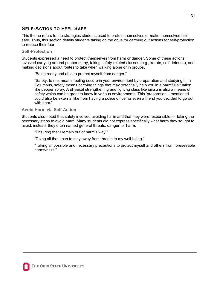### **SELF-ACTION TO FEEL SAFE**

This theme refers to the strategies students used to protect themselves or make themselves feel safe. Thus, this section details students taking on the onus for carrying out actions for self-protection to reduce their fear.

### **Self-Protection**

Students expressed a need to protect themselves from harm or danger. Some of these actions involved carrying around pepper spray, taking safety-related classes (e.g., karate, self-defense), and making decisions about routes to take when walking alone or in groups.

"Being ready and able to protect myself from danger."

"Safety, to me, means feeling secure in your environment by preparation and studying it. In Columbus, safety means carrying things that may potentially help you in a harmful situation like pepper spray. A physical strengthening and fighting class like jujitsu is also a means of safety which can be great to know in various environments. This 'preparation' I mentioned could also be external like from having a police officer or even a friend you decided to go out with near."

### **Avoid Harm via Self-Action**

Students also noted that safety involved avoiding harm and that they were responsible for taking the necessary steps to avoid harm. Many students did not express specifically what harm they sought to avoid; instead, they often named general threats, danger, or harm.

"Ensuring that I remain out of harm's way."

"Doing all that I can to stay away from threats to my well-being."

"Taking all possible and necessary precautions to protect myself and others from foreseeable harms/risks."

31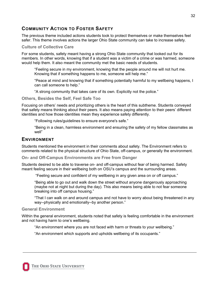### **COMMUNITY ACTION TO FOSTER SAFETY**

The previous theme included actions students took to protect themselves or make themselves feel safer. This theme involves actions the larger Ohio State community can take to increase safety.

### **Culture of Collective Care**

For some students, safety meant having a strong Ohio State community that looked out for its members. In other words, knowing that if a student was a victim of a crime or was harmed, someone would help them. It also meant the community met the basic needs of students.

"Feeling secure in my environment, knowing that the people around me will not hurt me. Knowing that if something happens to me, someone will help me."

"Peace at mind and knowing that if something potentially harmful to my wellbeing happens, I can call someone to help."

"A strong community that takes care of its own. Explicitly not the police."

**Others, Besides the Self, Feel Safe Too**

Focusing on others' needs and prioritizing others is the heart of this subtheme. Students conveyed that safety means thinking about their peers. It also means paying attention to their peers' different identities and how those identities mean they experience safety differently.

"Following rules/guidelines to ensure everyone's safe."

"Being in a clean, harmless environment and ensuring the safety of my fellow classmates as well"

### **ENVIRONMENT**

Students mentioned the environment in their comments about safety. The Environment refers to comments related to the physical structure of Ohio State, off-campus, or generally the environment.

**On- and Off-Campus Environments are Free from Danger**

Students desired to be able to traverse on- and off-campus without fear of being harmed. Safety meant feeling secure in their wellbeing both on OSU's campus and the surrounding areas.

"Feeling secure and confident of my wellbeing in any given area on or off campus."

"Being able to go out and walk down the street without anyone dangerously approaching (maybe not at night but during the day). This also means being able to not fear someone breaking into off campus housing."

"That I can walk on and around campus and not have to worry about being threatened in any way--physically and emotionally--by another person."

### **General Environment**

Within the general environment, students noted that safety is feeling comfortable in the environment and not having harm to one's wellbeing.

"An environment where you are not faced with harm or threats to your wellbeing."

"An environment which supports and upholds wellbeing of its occupants."

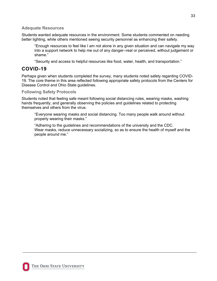### **Adequate Resources**

Students wanted adequate resources in the environment. Some students commented on needing better lighting, while others mentioned seeing security personnel as enhancing their safety.

"Enough resources to feel like I am not alone in any given situation and can navigate my way into a support network to help me out of any danger--real or perceived, without judgement or shame."

"Security and access to helpful resources like food, water, health, and transportation."

### **COVID-19**

Perhaps given when students completed the survey, many students noted safety regarding COVID-19. The core theme in this area reflected following appropriate safety protocols from the Centers for Disease Control and Ohio State guidelines.

### **Following Safety Protocols**

Students noted that feeling safe meant following social distancing rules, wearing masks, washing hands frequently, and generally observing the policies and guidelines related to protecting themselves and others from the virus.

"Everyone wearing masks and social distancing. Too many people walk around without properly wearing their masks."

"Adhering to the guidelines and recommendations of the university and the CDC. Wear masks, reduce unnecessary socializing, so as to ensure the health of myself and the people around me."

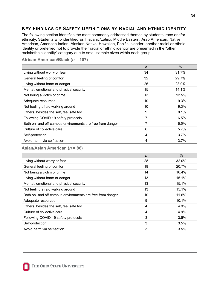### <span id="page-34-0"></span>**KEY FINDINGS OF SAFETY DEFINITIONS BY RACIAL AND ETHNIC IDENTITY**

The following section identifies the most commonly addressed themes by students' race and/or ethnicity. Students who identified as Hispanic/Latinx, Middle Eastern, Arab American, Native American, American Indian, Alaskan Native, Hawaiian, Pacific Islander, another racial or ethnic identity or preferred not to provide their racial or ethnic identity are presented in the "other racial/ethnic identity" category due to small sample sizes within each group.

|                                                           | $\mathbf n$ | $\%$  |
|-----------------------------------------------------------|-------------|-------|
| Living without worry or fear                              | 34          | 31.7% |
| General feeling of comfort                                | 32          | 29.7% |
| Living without harm or danger                             | 26          | 23.9% |
| Mental, emotional and physical security                   | 15          | 14.1% |
| Not being a victim of crime                               | 13          | 12.5% |
| Adequate resources                                        | 10          | 9.3%  |
| Not feeling afraid walking around                         | 10          | 9.3%  |
| Others, besides the self, feel safe too                   | 9           | 8.1%  |
| Following COVID-19 safety protocols                       | 7           | 6.5%  |
| Both on- and off-campus environments are free from danger | 7           | 6.5%  |
| Culture of collective care                                | 6           | 5.7%  |
| Self-protection                                           | 4           | 3.7%  |
| Avoid harm via self-action                                | 4           | 3.7%  |

#### **African American/Black (***n* **= 107)**

**Asian/Asian American (***n* **= 86)** 

|                                                           | $\mathbf n$ | $\frac{0}{0}$ |
|-----------------------------------------------------------|-------------|---------------|
| Living without worry or fear                              | 28          | 32.0%         |
| General feeling of comfort                                | 18          | 20.7%         |
| Not being a victim of crime                               | 14          | 16.4%         |
| Living without harm or danger                             | 13          | 15.1%         |
| Mental, emotional and physical security                   | 13          | 15.1%         |
| Not feeling afraid walking around                         | 13          | 15.1%         |
| Both on- and off-campus environments are free from danger | 10          | 11.6%         |
| Adequate resources                                        | 9           | 10.1%         |
| Others, besides the self, feel safe too                   | 4           | 4.9%          |
| Culture of collective care                                | 4           | 4.9%          |
| Following COVID-19 safety protocols                       | 3           | 3.5%          |
| Self-protection                                           | 3           | 3.5%          |
| Avoid harm via self-action                                | 3           | 3.5%          |

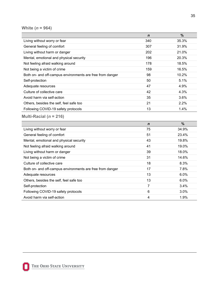### **White (***n* **= 964)**

|                                                           | $\mathbf n$ | $\frac{0}{0}$ |
|-----------------------------------------------------------|-------------|---------------|
| Living without worry or fear                              | 340         | 35.3%         |
| General feeling of comfort                                | 307         | 31.9%         |
| Living without harm or danger                             | 202         | 21.0%         |
| Mental, emotional and physical security                   | 196         | 20.3%         |
| Not feeling afraid walking around                         | 178         | 18.5%         |
| Not being a victim of crime                               | 159         | 16.5%         |
| Both on- and off-campus environments are free from danger | 98          | 10.2%         |
| Self-protection                                           | 50          | 5.1%          |
| Adequate resources                                        | 47          | 4.9%          |
| Culture of collective care                                | 42          | 4.3%          |
| Avoid harm via self-action                                | 35          | 3.6%          |
| Others, besides the self, feel safe too                   | 21          | $2.2\%$       |
| Following COVID-19 safety protocols                       | 13          | 1.4%          |
| Multi-Racial ( $n = 216$ )                                |             |               |

|                                                           | $\mathbf n$ | %       |
|-----------------------------------------------------------|-------------|---------|
| Living without worry or fear                              | 75          | 34.9%   |
| General feeling of comfort                                | 51          | 23.4%   |
| Mental, emotional and physical security                   | 43          | 19.8%   |
| Not feeling afraid walking around                         | 41          | 19.0%   |
| Living without harm or danger                             | 39          | 18.0%   |
| Not being a victim of crime                               | 31          | 14.6%   |
| Culture of collective care                                | 18          | 8.3%    |
| Both on- and off-campus environments are free from danger | 17          | 7.8%    |
| Adequate resources                                        | 13          | $6.0\%$ |
| Others, besides the self, feel safe too                   | 13          | $6.0\%$ |
| Self-protection                                           | 7           | 3.4%    |
| Following COVID-19 safety protocols                       | 6           | 3.0%    |
| Avoid harm via self-action                                | 4           | 1.9%    |

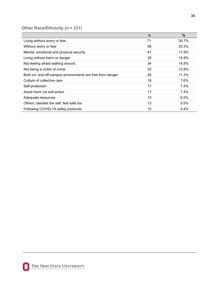### **Other Race/Ethnicity (***n* **= 231)**

|                                                           | $\mathbf n$ | $\frac{0}{0}$ |
|-----------------------------------------------------------|-------------|---------------|
| Living without worry or fear                              | 71          | 30.7%         |
| Without worry or fear                                     | 58          | 25.3%         |
| Mental, emotional and physical security                   | 41          | 17.9%         |
| Living without harm or danger                             | 35          | 14.9%         |
| Not feeling afraid walking around                         | 34          | 14.8%         |
| Not being a victim of crime                               | 32          | 13.9%         |
| Both on- and off-campus environments are free from danger | 26          | 11.3%         |
| Culture of collective care                                | 18          | 7.6%          |
| Self-protection                                           | 17          | 7.4%          |
| Avoid harm via self-action                                | 17          | 7.4%          |
| Adequate resources                                        | 15          | 6.5%          |
| Others, besides the self, feel safe too                   | 13          | 5.5%          |
| Following COVID-19 safety protocols                       | 10          | 4.4%          |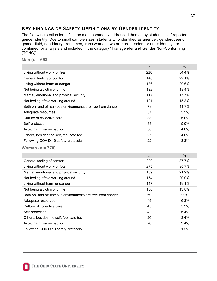### <span id="page-37-0"></span>**KEY FINDINGS OF SAFETY DEFINITIONS BY GENDER IDENTITY**

The following section identifies the most commonly addressed themes by students' self-reported gender identity. Due to small sample sizes, students who identified as agender, genderqueer or gender fluid, non-binary, trans men, trans women, two or more genders or other identity are combined for analysis and included in the category "Transgender and Gender Non-Conforming (TGNC)".

**Man**  $(n = 663)$ 

|                                                           | $\mathbf n$ | $\%$    |
|-----------------------------------------------------------|-------------|---------|
| Living without worry or fear                              | 228         | 34.4%   |
| General feeling of comfort                                | 146         | 22.1%   |
| Living without harm or danger                             | 136         | 20.6%   |
| Not being a victim of crime                               | 122         | 18.4%   |
| Mental, emotional and physical security                   | 117         | 17.7%   |
| Not feeling afraid walking around                         | 101         | 15.3%   |
| Both on- and off-campus environments are free from danger | 78          | 11.7%   |
| Adequate resources                                        | 37          | 5.5%    |
| Culture of collective care                                | 33          | 5.0%    |
| Self-protection                                           | 33          | $5.0\%$ |
| Avoid harm via self-action                                | 30          | 4.6%    |
| Others, besides the self, feel safe too                   | 27          | 4.0%    |
| Following COVID-19 safety protocols                       | 22          | 3.3%    |

**Woman (***n* **= 770)** 

|                                                           | $\mathbf n$ | $\frac{0}{0}$ |
|-----------------------------------------------------------|-------------|---------------|
| General feeling of comfort                                | 290         | 37.7%         |
| Living without worry or fear                              | 275         | 35.7%         |
| Mental, emotional and physical security                   | 169         | 21.9%         |
| Not feeling afraid walking around                         | 154         | 20.0%         |
| Living without harm or danger                             | 147         | 19.1%         |
| Not being a victim of crime                               | 106         | 13.8%         |
| Both on- and off-campus environments are free from danger | 69          | 8.9%          |
| Adequate resources                                        | 49          | 6.3%          |
| Culture of collective care                                | 45          | 5.9%          |
| Self-protection                                           | 42          | 5.4%          |
| Others, besides the self, feel safe too                   | 26          | 3.4%          |
| Avoid harm via self-action                                | 26          | 3.4%          |
| Following COVID-19 safety protocols                       | 9           | 1.2%          |

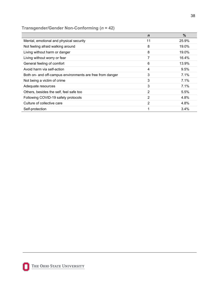### **Transgender/Gender Non-Conforming (***n* **= 42)**

|                                                           | $\mathbf n$ | %       |
|-----------------------------------------------------------|-------------|---------|
| Mental, emotional and physical security                   | 11          | 25.9%   |
| Not feeling afraid walking around                         | 8           | 19.0%   |
| Living without harm or danger                             | 8           | 19.0%   |
| Living without worry or fear                              |             | 16.4%   |
| General feeling of comfort                                | 6           | 13.9%   |
| Avoid harm via self-action                                | 4           | 9.5%    |
| Both on- and off-campus environments are free from danger | 3           | 7.1%    |
| Not being a victim of crime                               | 3           | 7.1%    |
| Adequate resources                                        | 3           | 7.1%    |
| Others, besides the self, feel safe too                   | 2           | 5.5%    |
| Following COVID-19 safety protocols                       | 2           | 4.8%    |
| Culture of collective care                                | 2           | 4.8%    |
| Self-protection                                           |             | $3.4\%$ |



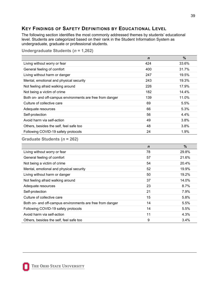### <span id="page-39-0"></span>**KEY FINDINGS OF SAFETY DEFINITIONS BY EDUCATIONAL LEVEL**

The following section identifies the most commonly addressed themes by students' educational level. Students are categorized based on their rank in the Student Information System as undergraduate, graduate or professional students.

**Undergraduate Students (***n* **= 1,262)** 

|                                                           | $\mathbf n$ | $\%$  |
|-----------------------------------------------------------|-------------|-------|
| Living without worry or fear                              | 424         | 33.6% |
| General feeling of comfort                                | 400         | 31.7% |
| Living without harm or danger                             | 247         | 19.5% |
| Mental, emotional and physical security                   | 243         | 19.3% |
| Not feeling afraid walking around                         | 226         | 17.9% |
| Not being a victim of crime                               | 182         | 14.4% |
| Both on- and off-campus environments are free from danger | 139         | 11.0% |
| Culture of collective care                                | 69          | 5.5%  |
| Adequate resources                                        | 66          | 5.3%  |
| Self-protection                                           | 56          | 4.4%  |
| Avoid harm via self-action                                | 49          | 3.8%  |
| Others, besides the self, feel safe too                   | 48          | 3.8%  |
| Following COVID-19 safety protocols                       | 24          | 1.9%  |

### **Graduate Students (***n* **= 262)**

|                                                           | $\mathbf n$ | $\%$    |
|-----------------------------------------------------------|-------------|---------|
| Living without worry or fear                              | 78          | 29.8%   |
| General feeling of comfort                                | 57          | 21.6%   |
| Not being a victim of crime                               | 54          | 20.4%   |
| Mental, emotional and physical security                   | 52          | 19.9%   |
| Living without harm or danger                             | 50          | 19.2%   |
| Not feeling afraid walking around                         | 37          | 14.0%   |
| Adequate resources                                        | 23          | $8.7\%$ |
| Self-protection                                           | 21          | 7.9%    |
| Culture of collective care                                | 15          | 5.8%    |
| Both on- and off-campus environments are free from danger | 14          | 5.5%    |
| Following COVID-19 safety protocols                       | 14          | 5.5%    |
| Avoid harm via self-action                                | 11          | 4.3%    |
| Others, besides the self, feel safe too                   | 9           | 3.4%    |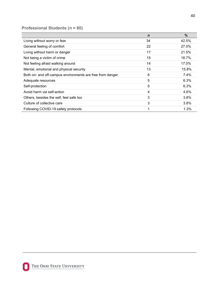### **Professional Students (***n* **= 80)**

|                                                           | $\mathbf n$ | $\%$  |
|-----------------------------------------------------------|-------------|-------|
| Living without worry or fear                              | 34          | 42.5% |
| General feeling of comfort                                | 22          | 27.0% |
| Living without harm or danger                             | 17          | 21.5% |
| Not being a victim of crime                               | 15          | 18.7% |
| Not feeling afraid walking around                         | 14          | 17.0% |
| Mental, emotional and physical security                   | 13          | 15.8% |
| Both on- and off-campus environments are free from danger | 6           | 7.4%  |
| Adequate resources                                        | 5           | 6.3%  |
| Self-protection                                           | 5           | 6.3%  |
| Avoid harm via self-action                                | 4           | 4.6%  |
| Others, besides the self, feel safe too                   | 3           | 3.8%  |
| Culture of collective care                                | 3           | 3.8%  |
| Following COVID-19 safety protocols                       | 1           | 1.3%  |

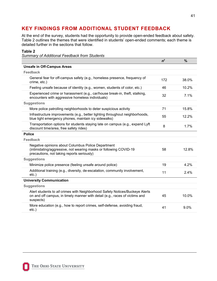### <span id="page-41-0"></span>**KEY FINDINGS FROM ADDITIONAL STUDENT FEEDBACK**

At the end of the survey, students had the opportunity to provide open-ended feedback about safety. Table 2 outlines the themes that were identified in students' open-ended comments; each theme is detailed further in the sections that follow.

### **Table 2**

*Summary of Additional Feedback from Students*

|                                                                                                                                                                          | n <sup>7</sup> | $\frac{9}{6}$ |
|--------------------------------------------------------------------------------------------------------------------------------------------------------------------------|----------------|---------------|
| <b>Unsafe in Off-Campus Areas</b>                                                                                                                                        |                |               |
| <b>Feedback</b>                                                                                                                                                          |                |               |
| General fear for off-campus safety (e.g., homeless presence, frequency of<br>crime, etc.)                                                                                | 172            | 38.0%         |
| Feeling unsafe because of identity (e.g., women, students of color, etc.)                                                                                                | 46             | 10.2%         |
| Experienced crime or harassment (e.g., car/house break-in, theft, stalking,<br>encounters with aggressive homeless individuals)                                          | 32             | 7.1%          |
| <b>Suggestions</b>                                                                                                                                                       |                |               |
| More police patrolling neighborhoods to deter suspicious activity                                                                                                        | 71             | 15.8%         |
| Infrastructure improvements (e.g., better lighting throughout neighborhoods,<br>blue light emergency phones, maintain icy sidewalks)                                     | 55             | 12.2%         |
| Transportation options for students staying late on campus (e.g., expand Lyft<br>discount time/area, free safety rides)                                                  | 8              | 1.7%          |
| <b>Police</b>                                                                                                                                                            |                |               |
| <b>Feedback</b>                                                                                                                                                          |                |               |
| Negative opinions about Columbus Police Department<br>(intimidating/aggressive, not wearing masks or following COVID-19<br>precautions, not taking reports seriously)    | 58             | 12.8%         |
| <b>Suggestions</b>                                                                                                                                                       |                |               |
| Minimize police presence (feeling unsafe around police)                                                                                                                  | 19             | 4.2%          |
| Additional training (e.g., diversity, de-escalation, community involvement,<br>$etc.$ )                                                                                  | 11             | 2.4%          |
| <b>University Communication</b>                                                                                                                                          |                |               |
| <b>Suggestions</b>                                                                                                                                                       |                |               |
| Alert students to all crimes with Neighborhood Safety Notices/Buckeye Alerts<br>on and off campus, in timely manner with detail (e.g., races of victims and<br>suspects) | 45             | 10.0%         |
| More education (e.g., how to report crimes, self-defense, avoiding fraud,<br>$etc.$ )                                                                                    | 41             | 9.0%          |
|                                                                                                                                                                          |                |               |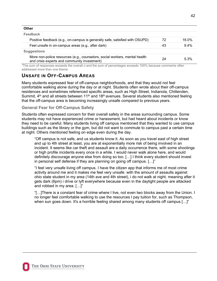**Other**

| Feedback                                                                                                                   |    |          |
|----------------------------------------------------------------------------------------------------------------------------|----|----------|
| Positive feedback (e.g., on-campus is generally safe, satisfied with OSUPD)                                                | 72 | $16.0\%$ |
| Feel unsafe in on-campus areas (e.g., after dark)                                                                          | 43 | 9.4%     |
| <b>Suggestions</b>                                                                                                         |    |          |
| More non-police resources (e.g., counselors, social workers, mental health<br>and crisis experts and community investment) | 24 | 5.3%     |

7The sum of responses exceeds the overall *n* and the sum of percentages exceeds 100% because comments often addressed more than one theme.

### **UNSAFE IN OFF-CAMPUS AREAS**

Many students expressed fear of off-campus neighborhoods, and that they would not feel comfortable walking alone during the day or at night. Students often wrote about their off-campus residences and sometimes referenced specific areas, such as High Street, Indianola, Chittenden, Summit, 4<sup>th</sup> and all streets between 11<sup>th</sup> and 18<sup>th</sup> avenues. Several students also mentioned feeling that the off-campus area is becoming increasingly unsafe compared to previous years.

### **General Fear for Off-Campus Safety**

Students often expressed concern for their overall safety in the areas surrounding campus. Some students may not have experienced crime or harassment, but had heard about incidents or know they need to be careful. Many students living off campus mentioned that they wanted to use campus buildings such as the library or the gym, but did not want to commute to campus past a certain time at night. Others mentioned feeling on edge even during the day.

"Off campus is not safe, and us students know it. As soon as you travel east of high street and up to 4th street at least, you are at exponentially more risk of being involved in an incident. It seems like car theft and assault are a daily occurrence there, with some shootings or high profile incidents every once in a while. I would never walk alone here, and would definitely discourage anyone else from doing so too. […] I think every student should invest in personal self defense if they are planning on going off campus. […]"

"I feel very unsafe living off campus. I have the citizen app that informs me of most crime activity around me and it makes me feel very unsafe. with the amount of assaults against ohio state student in my area (14th ave and 4th street), i do not walk at night. meaning after it gets dark (6pm) i drive or lyft everywhere because even in the daylight people are attacked and robbed in my area. […]"

"[…]There is a constant fear of crime where I live, not even two blocks away from the Union. I no longer feel comfortable walking to use the resources I pay tuition for, such as Thompson, when sun goes down. It's a horrible feeling shared among many students off campus […]"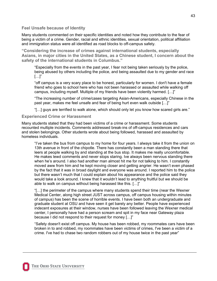**Feel Unsafe because of Identity**

Many students commented on their specific identities and noted how they contribute to the fear of being a victim of a crime. Gender, racial and ethnic identities, sexual orientation, political affiliation and immigration status were all identified as road blocks to off-campus safety.

**"Considering the increase of crimes against international students, especially Asians, in major cities in the United States, as a Chinese student, I concern about the safety of the international students in Columbus."** 

"Especially from the events in the past year, I fear not being taken seriously by the police, being abused by others including the police, and being assaulted due to my gender and race  $[\ldots]$ "

"off campus is a very scary place to be honest, particularly for women. I don't have a female friend who goes to school here who has not been harassed or assaulted while walking off campus, including myself. Multiple of my friends have been violently harmed. […]"

"The increasing number of crime/cases targeting Asian-Americans, especially Chinese in the past year, makes me feel unsafe and fear of being hurt even walk outside […]"

"[…] guys are terrified to walk alone, which should only let you know how scared girls are."

#### **Experienced Crime or Harassment**

Many students stated that they had been victims of a crime or harassment. Some students recounted multiple incidents. Comments addressed break-ins of off-campus residences and cars and stolen belongings. Other students wrote about being followed, harassed and assaulted by homeless individuals.

"I've taken the bus from campus to my home for four years. I always take it from the union on 13th avenue in front of the chipotle. There has constantly been a man standing there that leers at people walking by and standing at the bus stop. It makes me really uncomfortable. He makes lewd comments and never stops staring. Ive always been nervous standing there when he's around. I also had another man almost hit me for not talking to him. I constantly moved aww from him and he kept moving closer and getting angrier. He wasn't even phased by the fact that it was in broad daylight and everyone was around. I reported him to the police but there wasn't much that I could explain about his appearance and the police said they would take a look around. I knew that it wouldn't lead to anything fruitful but we should be able to walk on campus without being harassed like this. […]"

"[…] the perimeter of the campus where many students spend their time (near the Wexner Medical Center, along high street JUST across campus, off campus housing within minutes of campus) has been the scene of horrible events. I have been both an undergraduate and graduate student at OSU and have seen it get barely any better. People have experienced indecent exposures at their window, nurses have been followed leaving the Wexner medical center, I personally have had a person scream and spit in my face near Gateway plaza because I did not respond to their request for money […]"

"Safety doesn't exist off campus. My house has been robbed, my roommates cars have been broken in to and robbed, my roommates have been victims of crimes, I've been a victim of a crime. I've had to chase two random robbers out of my house twice in the past year"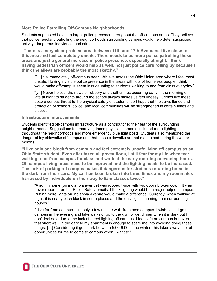### **More Police Patrolling Off-Campus Neighborhoods**

Students suggested having a larger police presence throughout the off-campus areas. They believe that police regularly patrolling the neighborhoods surrounding campus would help deter suspicious activity, dangerous individuals and crime.

**"There is a very clear problem area between 11th and 17th Avenues. I live close to this area and feel completely unsafe. There needs to be more police patrolling these areas and just a general increase in police presence, especially at night. I think having pedestrian officers would help as well, not just police cars rolling by because I think the alleys are probably the most sketchy."** 

"[…]it is immediately off-campus near 13th ave across the Ohio Union area where I feel most unsafe. Having a visible police presence in the areas with lots of homeless people I think would make off-campus seem less daunting to students walking to and from class everyday."

"[…] Nevertheless, the news of robbery and theft crimes occurring early in the morning or late at night to students around the school always makes us feel uneasy. Crimes like these pose a serious threat to the physical safety of students, so I hope that the surveillance and protection of schools, police, and local communities will be strengthened in certain times and places."

#### **Infrastructure Improvements**

Students identified off-campus infrastructure as a contributor to their fear of the surrounding neighborhoods. Suggestions for improving these physical elements included more lighting throughout the neighborhoods and more emergency blue light posts. Students also mentioned the danger of icy sidewalks off campus and that these sidewalks are not maintained during the winter months.

**"I live only one block from campus and feel extremely unsafe living off campus as an Ohio State student. Even after taken all precautions, I still fear for my life whenever walking to or from campus for class and work at the early morning or evening hours. Off campus living areas need to be improved and the lighting needs to be increased. The lack of parking off campus makes it dangerous for students returning home in the dark from their cars. My car has been broken into three times and my roommates harrassed by individuals on their way to 8am classes twice."** 

"Also, myhome (on indianola avenue) was robbed twice with two doors broken down. It was never reported on the Public Safety emails. I think lighting would be a major help off campus. Putting more lights on Indianola Avenue would make a difference. Currently, when walking at night, it is nearly pitch black in some places and the only light is coming from surrounding houses."

"I live far from campus - I'm only a few minute walk from med campus. I wish I could go to campus in the evening and take walks or go to the gym or get dinner when it is dark but I don't feel safe due to the lack of street lighting off campus. I feel safe on campus but even that short walk in the dark to my apartment is enough to scare me into avoiding doing these things. […] Considering it gets dark between 5:00-6:00 in the winter, this takes away a lot of opportunities for me to come to campus when I want to."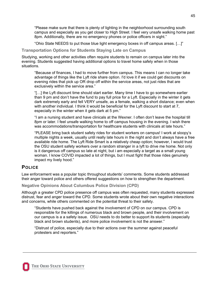"Please make sure that there is plenty of lighting in the neighborhood surrounding south campus and especially as you get closer to High Street. I feel very unsafe walking home past 8pm. Additionally, there are no emergency phones or police officers in sight."

"Ohio State NEEDS to put those blue light emergency boxes in off campus areas. […]"

**Transportation Options for Students Staying Late on Campus**

Studying, working and other activities often require students to remain on campus later into the evening. Students suggested having additional options to travel home safely when in those situations.

"Because of finances, I had to move further from campus. This means I can no longer take advantage of things like the Lyft ride share option. I'd love it if we could get discounts on evening rides that pick up OR drop off within the service areas, not just rides that are exclusively within the service area."

"[…] the Lyft discount time should start earlier. Many time I have to go somewhere earlier than 9 pm and don't have the fund to pay full price for a Lyft. Especially in the winter it gets dark extremely early and fell VERY unsafe, as a female, walking a short distance; even when with another individual. I think it would be beneficial for the Lyft discount to start at 7, especially in the winter when it gets dark at 5 pm."

"I am a nursing student and have clinicals at the Wexner. I often don't leave the hospital till 8pm or later. I feel unsafe walking home to off campus housing in the evening. I wish there was accommodations/transportation for healthcare students with clinicals at late hours."

"PLEASE bring back student safety rides for student workers on campus! I work at sloopy's multiple nights a week, usually until really late hours in the night and don't always have a free available ride home. The Lyft Ride Smart is a relatively cheap option; however, I would trust the OSU student safety workers over a random stranger in a lyft to drive me home. Not only is it dangerous off campus so late at night, but i am especially a target as a small young woman. I know COVID impacted a lot of things, but I must fight that those rides genuinely impact my lively hood."

### **POLICE**

Law enforcement was a popular topic throughout students' comments. Some students addressed their anger toward police and others offered suggestions on how to strengthen the department.

**Negative Opinions About Columbus Police Division (CPD)**

Although a greater CPD police presence off campus was often requested, many students expressed distrust, fear and anger toward the CPD. Some students wrote about their own negative interactions and concerns, while others commented on the potential threat to their safety.

"Students have pushed back against the involvement of CPD on our campus. CPD is responsible for the killings of numerous black and brown people, and their involvement on our campus is a a safety issue. OSU needs to do better to support its students (especially black and brown students), and more police involvement is not the answer."

"Distrust of police, especially due to their actions over the summer against peaceful protesters and reporters."

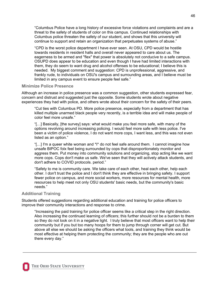"Columbus Police have a long history of excessive force violations and complaints and are a threat to the safety of students of color on this campus. Continued relationships with Columbus police threaten the safety of our student, and shows that this university will continue to support and retain an organization that perpetuates systems of abuse."

"CPD is the worst police department I have ever seen. At OSU, CPD would be hostile towards residents in resident halls and overall never appeared to care about us. The eagerness to be armed and "flex" that power is absolutely not conducive to a safe campus. OSUPD does appear to be education and even though I have had limited interactions with them, they do seem to want drug and alcohol offenses to be educational; I believe this is needed. My biggest comment and suggestion: CPD is unprofessional, aggressive, and frankly rude, to individuals on OSU's campus and surrounding areas, and I believe must be limited in any campus event to ensure people feel safe."

#### **Minimize Police Presence**

Although an increase in police presence was a common suggestion, other students expressed fear, concern and distrust and suggested just the opposite. Some students wrote about negative experiences they had with police, and others wrote about their concern for the safety of their peers.

"Cut ties with Columbus PD. More police presence, especially from a department that has killed multiple unarmed black people very recently, is a terrible idea and will make people of color feel more unsafe."

"[…] Basically, [the survey] says: what would make you feel more safe, with many of the options revolving around increasing policing. I would feel more safe with less police. I've been a victim of police violence, I do not want more cops, I want less, and this was not even listed as an option."

"[...] I'm a queer white woman and  $*1*$  do not feel safe around them. I cannot imagine how unsafe BIPOC folx feel being surrounded by cops that disproportionately monitor and aggress them. Put money into community solutions and organizing, stop acting like we want more cops. Cops don't make us safe. We've seen that they will actively attack students, and don't adhere to COVID protocols. period."

"Safety to me is community care. We take care of each other, heal each other, help each other. I don't trust the police and I don't think they are effective in bringing safety. I support fewer police on campus, and more social workers, more resources for mental health, more resources to help meet not only OSU students' basic needs, but the community's basic needs."

#### **Additional Training**

Students offered suggestions regarding additional education and training for police officers to improve their community interactions and response to crime.

"Increasing the paid training for police officer seems like a critical step in the right direction. Also increasing the continued learning of officers; this further should not be a burden to them so they do not look on it in a negative light. I truly believe that most officers want to help their community but if you but too many hoops for them to jump through corner will get cut. But above all else we should be asking the officers what tools, and training they think would be most effective at helping them protecting the community; they are the people who are out there every day."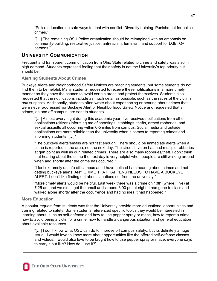"Police education on safe ways to deal with conflict. Diversity training. Punishment for police crimes."

"[…] The remaining OSU Police organization should be reimagined with an emphasis on community-building, restorative justice, anti-racism, feminism, and support for LGBTQ+ persons."

### **UNIVERSITY COMMUNICATION**

Frequent and transparent communication from Ohio State related to crime and safety was also in high demand. Students expressed feeling that their safety is not the University's top priority but should be.

### **Alerting Students About Crimes**

Buckeye Alerts and Neighborhood Safety Notices are reaching students, but some students do not find them to be helpful. Many students requested to receive these notifications in a more timely manner so they have the chance to avoid certain areas and protect themselves. Students also requested that the notifications include as much detail as possible, such as the races of the victims *and* suspects. Additionally, students often wrote about experiencing or hearing about crimes that were never addressed via Buckeye Alert or Neighborhood Safety Notice and requested that all crimes, on and off campus, are sent to students.

"[…] Almost every night during this academic year, I've received notifications from other applications (citizen) informing me of shootings, stabbings, thefts, armed robberies, and sexual assaults all occurring within 0-5 miles from campus. Social media and outside applications are more reliable than the university when it comes to reporting crimes and informing students. […]"

"The buckeye alerts/emails are not fast enough. There should be immediate alerts when a crime is reported in the area, not the next day. The street I live on has had multiple robberies at gun point as well as gun related crimes. There are also many robberies/theft. I don't think that hearing about the crime the next day is very helpful when people are still walking around when and shortly after the crime has occurred."

"I feel extremely unsafe off campus and I have noticed I am hearing about crimes and not getting buckeye alerts. ANY CRIME THAT HAPPENS NEEDS TO HAVE A BUCKEYE ALERT. I don't like finding out about situations not from the university."

"More timely alerts would be helpful. Last week there was a crime on 13th (where I live) at 7:25 am and we didn't get the email until around 6:00 pm at night. I had gone to class and walked alone shortly after the occurrence and had no idea it had happened."

### **More Education**

A popular request from students was that the University provide more educational opportunities and training related to safety. Some students referenced specific topics they would be interested in learning about, such as self-defense and how to use pepper spray or mace, how to report a crime, how to avoid being a victim of a crime, how to handle a dangerous situation and general education about available resources.

"[…] I don't know what OSU can do to improve off campus safety.. but its definitely a huge issue. I would love to know more about opportunities like the offered self-defense classes and videos. I would also love to be taught how to use pepper spray or mace. everyone says to carry it but like? How do I use it?"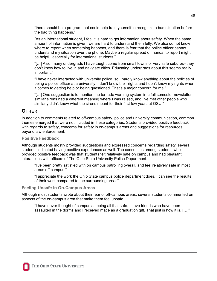"there should be a program that could help train yourself to recognize a bad situation before the bad thing happens."

"As an international student, I feel it is hard to get information about safety. When the same amount of information is given, we are hard to understand them fully. We also do not know where to report when something happens, and there is fear that the police officer cannot understand my situation over the phone. Maybe a regular spread of manual to report might be helpful especially for international students."

"[…] Also, many undergrads I have taught come from small towns or very safe suburbs--they don't know how to live in and navigate cities. Educating undergrads about this seems really important."

"I have never interacted with university police, so I hardly know anything about the policies of being a police officer at a university. I don't know their rights and I don't know my rights when it comes to getting help or being questioned. That's a major concern for me."

"[…] One suggestion is to mention the tornado warning system in a fall semester newsletter similar sirens had a different meaning where I was raised, and I've met other people who similarly didn't know what the sirens meant for their first few years at OSU."

### **OTHER**

In addition to comments related to off-campus safety, police and university communication, common themes emerged that were not included in these categories. Students provided positive feedback with regards to safety, concerns for safety in on-campus areas and suggestions for resources beyond law enforcement.

### **Positive Feedback**

Although students mostly provided suggestions and expressed concerns regarding safety, several students indicated having positive experiences as well. The consensus among students who provided positive feedback was that students felt relatively safe on campus and had pleasant interactions with officers of The Ohio State University Police Department.

"I've been pretty satisfied with on campus patrolling overall, and feel relatively safe in most areas off campus."

"I appreciate the work the Ohio State campus police department does, I can see the results of their work compared to the surrounding areas"

### **Feeling Unsafe in On-Campus Areas**

Although most students wrote about their fear of off-campus areas, several students commented on aspects of the on-campus area that make them feel unsafe.

"I have never thought of campus as being all that safe. I have friends who have been assaulted in the dorms and I received mace as a graduation gift. That just is how it is. […]"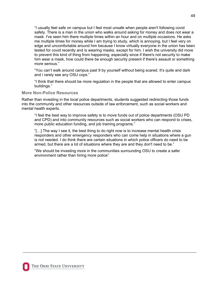"I usually feel safe on campus but I feel most unsafe when people aren't following covid safety. There is a man in the union who walks around asking for money and does not wear a mask. I've seen him there multiple times within an hour and on multiple occasions. He asks me multiple times for money while I am trying to study, which is annoying, but I feel very on edge and uncomfortable around him because I know virtually everyone in the union has been tested for covid recently and is wearing masks, except for him. I wish the university did more to prevent this kind of thing from happening, especially since if there's not security to make him wear a mask, how could there be enough security present if there's assault or something more serious."

"You can't walk around campus past 9 by yourself without being scared. It's quite and dark and i rarely see any OSU cops."

"I think that there should be more regulation in the people that are allowed to enter campus buildings."

#### **More Non-Police Resources**

Rather than investing in the local police departments, students suggested redirecting those funds into the community and other resources outside of law enforcement, such as social workers and mental health experts.

"I feel the best way to improve safety is to move funds out of police departments (OSU PD and CPD) and into community resources such as social workers who can respond to crises, more public education funding, and job training programs."

"[…] The way I see it, the best thing to do right now is to increase mental health crisis responders and other emergency responders who can come help in situations where a gun is not needed. I do think there are certain situations in which police officers do need to be armed, but there are a lot of situations where they are and they don't need to be."

"We should be investing more in the communities surrounding OSU to create a safer environment rather than hiring more police"

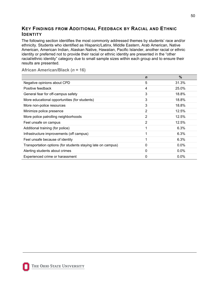### <span id="page-50-0"></span>**KEY FINDINGS FROM ADDITIONAL FEEDBACK BY RACIAL AND ETHNIC IDENTITY**

The following section identifies the most commonly addressed themes by students' race and/or ethnicity. Students who identified as Hispanic/Latinx, Middle Eastern, Arab American, Native American, American Indian, Alaskan Native, Hawaiian, Pacific Islander, another racial or ethnic identity or preferred not to provide their racial or ethnic identity are presented in the "other racial/ethnic identity" category due to small sample sizes within each group and to ensure their results are presented.

|  | African American/Black (n = 16) |  |  |  |
|--|---------------------------------|--|--|--|
|--|---------------------------------|--|--|--|

|                                                              | $\mathbf n$ | $\%$    |
|--------------------------------------------------------------|-------------|---------|
| Negative opinions about CPD                                  | 5           | 31.3%   |
| Positive feedback                                            | 4           | 25.0%   |
| General fear for off-campus safety                           | 3           | 18.8%   |
| More educational opportunities (for students)                | 3           | 18.8%   |
| More non-police resources                                    | 3           | 18.8%   |
| Minimize police presence                                     | 2           | 12.5%   |
| More police patrolling neighborhoods                         | 2           | 12.5%   |
| Feel unsafe on campus                                        | 2           | 12.5%   |
| Additional training (for police)                             |             | 6.3%    |
| Infrastructure improvements (off campus)                     |             | 6.3%    |
| Feel unsafe because of identity                              |             | 6.3%    |
| Transportation options (for students staying late on campus) | 0           | $0.0\%$ |
| Alerting students about crimes                               | 0           | $0.0\%$ |
| Experienced crime or harassment                              | 0           | $0.0\%$ |

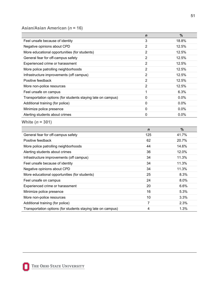### **Asian/Asian American (***n* **= 16)**

|                                                              | $\mathbf n$    | $\frac{9}{6}$ |
|--------------------------------------------------------------|----------------|---------------|
| Feel unsafe because of identity                              | 3              | 18.8%         |
| Negative opinions about CPD                                  | $\overline{2}$ | 12.5%         |
| More educational opportunities (for students)                | $\overline{2}$ | 12.5%         |
| General fear for off-campus safety                           | $\overline{2}$ | 12.5%         |
| Experienced crime or harassment                              | $\overline{2}$ | 12.5%         |
| More police patrolling neighborhoods                         | $\overline{2}$ | 12.5%         |
| Infrastructure improvements (off campus)                     | $\overline{2}$ | 12.5%         |
| Positive feedback                                            | $\overline{2}$ | 12.5%         |
| More non-police resources                                    | $\overline{2}$ | 12.5%         |
| Feel unsafe on campus                                        | 1              | 6.3%          |
| Transportation options (for students staying late on campus) | 0              | 0.0%          |
| Additional training (for police)                             | $\mathbf{0}$   | 0.0%          |
| Minimize police presence                                     | $\mathbf 0$    | 0.0%          |
| Alerting students about crimes                               | $\overline{0}$ | 0.0%          |
| White $(n = 301)$                                            |                |               |
|                                                              | $\mathbf n$    | $\frac{0}{0}$ |
| General fear for off-campus safety                           | 125            | 41.7%         |
| Positive feedback                                            | 62             | 20.7%         |
| More police patrolling neighborhoods                         | 44             | 14.6%         |
| Alerting students about crimes                               | 36             | 12.0%         |
| Infrastructure improvements (off campus)                     | 34             | 11.3%         |
| Feel unsafe because of identity                              | 34             | 11.3%         |
| Negative opinions about CPD                                  | 34             | 11.3%         |
| More educational opportunities (for students)                | 25             | 8.3%          |
| Feel unsafe on campus                                        | 24             | 8.0%          |
| Experienced crime or harassment                              | 20             | 6.6%          |
| Minimize police presence                                     | 16             | 5.3%          |
| More non-police resources                                    | 10             | 3.3%          |
| Additional training (for police)                             | $\overline{7}$ | 2.3%          |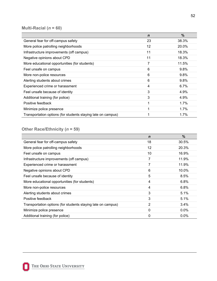### **Multi-Racial (***n* **= 60)**

|                                                              | $\mathbf n$ | %       |
|--------------------------------------------------------------|-------------|---------|
| General fear for off-campus safety                           | 23          | 38.3%   |
| More police patrolling neighborhoods                         | 12          | 20.0%   |
| Infrastructure improvements (off campus)                     | 11          | 18.3%   |
| Negative opinions about CPD                                  | 11          | 18.3%   |
| More educational opportunities (for students)                | 7           | 11.5%   |
| Feel unsafe on campus                                        | 6           | 9.8%    |
| More non-police resources                                    | 6           | 9.8%    |
| Alerting students about crimes                               | 6           | 9.8%    |
| Experienced crime or harassment                              | 4           | $6.7\%$ |
| Feel unsafe because of identity                              | 3           | 4.9%    |
| Additional training (for police)                             | 3           | 4.9%    |
| Positive feedback                                            |             | 1.7%    |
| Minimize police presence                                     |             | $1.7\%$ |
| Transportation options (for students staying late on campus) |             | 1.7%    |

### **Other Race/Ethnicity (***n* **= 59)**

|                                                              | $\mathbf n$ | %       |
|--------------------------------------------------------------|-------------|---------|
| General fear for off-campus safety                           | 18          | 30.5%   |
| More police patrolling neighborhoods                         | 12          | 20.3%   |
| Feel unsafe on campus                                        | 10          | 16.9%   |
| Infrastructure improvements (off campus)                     | 7           | 11.9%   |
| Experienced crime or harassment                              | 7           | 11.9%   |
| Negative opinions about CPD                                  | 6           | 10.0%   |
| Feel unsafe because of identity                              | 5           | 8.5%    |
| More educational opportunities (for students)                | 4           | 6.8%    |
| More non-police resources                                    | 4           | 6.8%    |
| Alerting students about crimes                               | 3           | 5.1%    |
| Positive feedback                                            | 3           | 5.1%    |
| Transportation options (for students staying late on campus) | 2           | 3.4%    |
| Minimize police presence                                     | 0           | $0.0\%$ |
| Additional training (for police)                             | 0           | $0.0\%$ |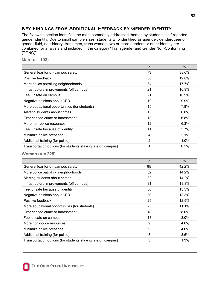### <span id="page-53-0"></span>**KEY FINDINGS FROM ADDITIONAL FEEDBACK BY GENDER IDENTITY**

The following section identifies the most commonly addressed themes by students' self-reported gender identity. Due to small sample sizes, students who identified as agender, genderqueer or gender fluid, non-binary, trans men, trans women, two or more genders or other identity are combined for analysis and included in the category "Transgender and Gender Non-Conforming (TGNC)".

**Man (***n* **= 192)** 

|                                                              | $\mathbf n$ | $\frac{0}{0}$ |
|--------------------------------------------------------------|-------------|---------------|
| General fear for off-campus safety                           | 73          | 38.0%         |
| Positive feedback                                            | 38          | 19.8%         |
| More police patrolling neighborhoods                         | 34          | 17.7%         |
| Infrastructure improvements (off campus)                     | 21          | 10.9%         |
| Feel unsafe on campus                                        | 21          | 10.9%         |
| Negative opinions about CPD                                  | 19          | $9.9\%$       |
| More educational opportunities (for students)                | 15          | 7.8%          |
| Alerting students about crimes                               | 13          | $6.8\%$       |
| Experienced crime or harassment                              | 13          | 6.8%          |
| More non-police resources                                    | 12          | 6.3%          |
| Feel unsafe because of identity                              | 11          | 5.7%          |
| Minimize police presence                                     | 4           | 2.1%          |
| Additional training (for police)                             | 2           | 1.0%          |
| Transportation options (for students staying late on campus) | 1           | 0.5%          |

**Woman (***n* **= 225)** 

|                                                              | $\mathbf n$ | $\frac{9}{6}$ |
|--------------------------------------------------------------|-------------|---------------|
| General fear for off-campus safety                           | 95          | 42.2%         |
| More police patrolling neighborhoods                         | 32          | 14.2%         |
| Alerting students about crimes                               | 32          | 14.2%         |
| Infrastructure improvements (off campus)                     | 31          | 13.8%         |
| Feel unsafe because of identity                              | 30          | 13.3%         |
| Negative opinions about CPD                                  | 30          | 13.3%         |
| Positive feedback                                            | 29          | 12.9%         |
| More educational opportunities (for students)                | 25          | 11.1%         |
| Experienced crime or harassment                              | 18          | 8.0%          |
| Feel unsafe on campus                                        | 18          | 8.0%          |
| More non-police resources                                    | 9           | 4.0%          |
| Minimize police presence                                     | 9           | 4.0%          |
| Additional training (for police)                             | 8           | 3.6%          |
| Transportation options (for students staying late on campus) | 3           | 1.3%          |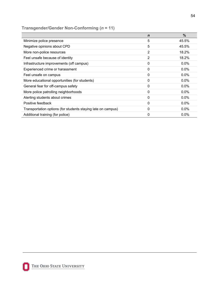### **Transgender/Gender Non-Conforming (***n* **= 11)**

|                                                              | $\mathbf n$ | $\%$    |
|--------------------------------------------------------------|-------------|---------|
| Minimize police presence                                     | 5           | 45.5%   |
| Negative opinions about CPD                                  | 5           | 45.5%   |
| More non-police resources                                    | 2           | 18.2%   |
| Feel unsafe because of identity                              | 2           | 18.2%   |
| Infrastructure improvements (off campus)                     | 0           | $0.0\%$ |
| Experienced crime or harassment                              | 0           | $0.0\%$ |
| Feel unsafe on campus                                        | $\Omega$    | $0.0\%$ |
| More educational opportunities (for students)                | 0           | $0.0\%$ |
| General fear for off-campus safety                           | $\Omega$    | $0.0\%$ |
| More police patrolling neighborhoods                         | 0           | $0.0\%$ |
| Alerting students about crimes                               | 0           | $0.0\%$ |
| Positive feedback                                            | 0           | $0.0\%$ |
| Transportation options (for students staying late on campus) | 0           | $0.0\%$ |
| Additional training (for police)                             | 0           | $0.0\%$ |

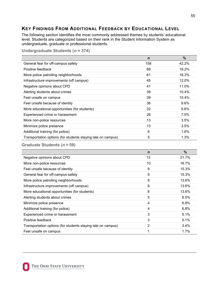### <span id="page-55-0"></span>**KEY FINDINGS FROM ADDITIONAL FEEDBACK BY EDUCATIONAL LEVEL**

The following section identifies the most commonly addressed themes by students' educational level. Students are categorized based on their rank in the Student Information System as undergraduate, graduate or professional students.

**Undergraduate Students (***n* **= 374)** 

| $\%$    |
|---------|
| 42.2%   |
| 18.2%   |
| 16.3%   |
| 12.0%   |
| 11.0%   |
| 10.4%   |
| 10.4%   |
| $9.6\%$ |
| 8.6%    |
| 7.0%    |
| 3.5%    |
| 3.5%    |
| 1.6%    |
| 1.3%    |
|         |

|                                                              | $\mathbf n$    | %       |
|--------------------------------------------------------------|----------------|---------|
| Negative opinions about CPD                                  | 13             | 21.7%   |
| More non-police resources                                    | 10             | 16.7%   |
| Feel unsafe because of identity                              | 9              | 15.3%   |
| General fear for off-campus safety                           | 9              | 15.3%   |
| More police patrolling neighborhoods                         | 8              | 13.6%   |
| Infrastructure improvements (off campus)                     | 8              | 13.6%   |
| More educational opportunities (for students)                | 8              | 13.6%   |
| Alerting students about crimes                               | 5              | 8.5%    |
| Minimize police presence                                     | 4              | 6.8%    |
| Additional training (for police)                             | 4              | 6.8%    |
| Experienced crime or harassment                              | 3              | 5.1%    |
| Positive feedback                                            | 3              | 5.1%    |
| Transportation options (for students staying late on campus) | $\overline{2}$ | $3.4\%$ |
| Feel unsafe on campus                                        | 1              | 1.7%    |